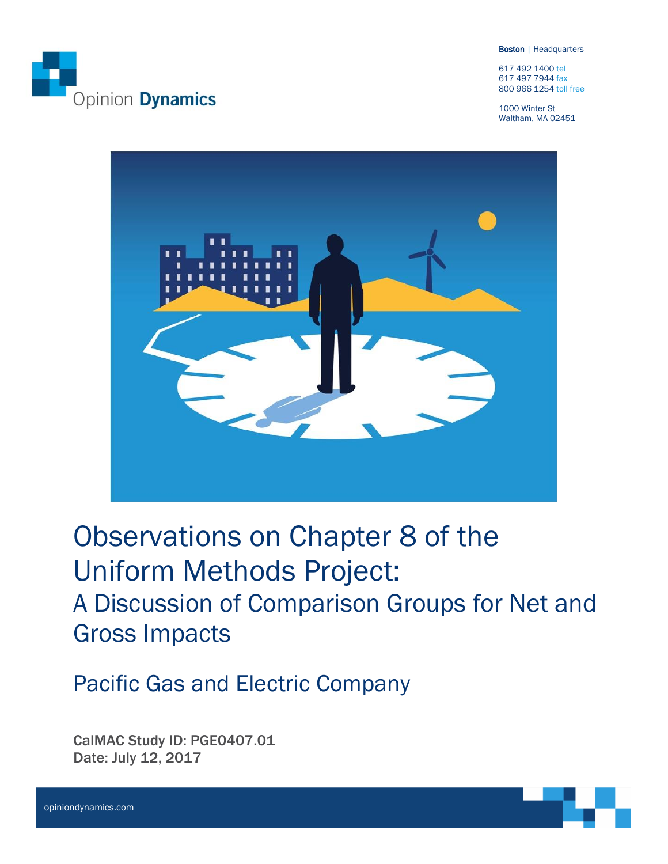

Boston | Headquarters

617 492 1400 tel 617 497 7944 fax 800 966 1254 toll free

1000 Winter St Waltham, MA 02451



Observations on Chapter 8 of the Uniform Methods Project: A Discussion of Comparison Groups for Net and Gross Impacts

Pacific Gas and Electric Company

CalMAC Study ID: PGE0407.01 Date: July 12, 2017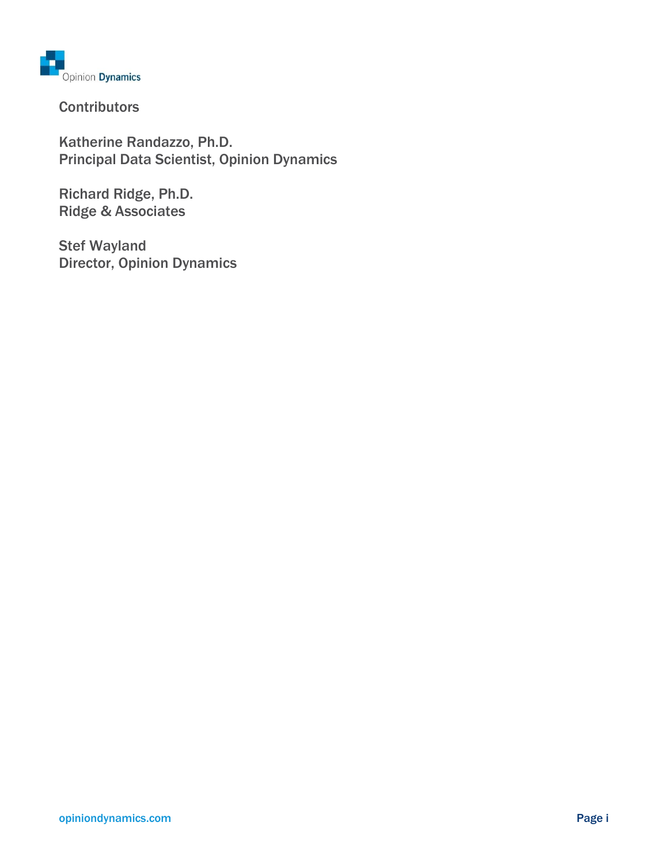

**Contributors** 

Katherine Randazzo, Ph.D. Principal Data Scientist, Opinion Dynamics

Richard Ridge, Ph.D. Ridge & Associates

Stef Wayland Director, Opinion Dynamics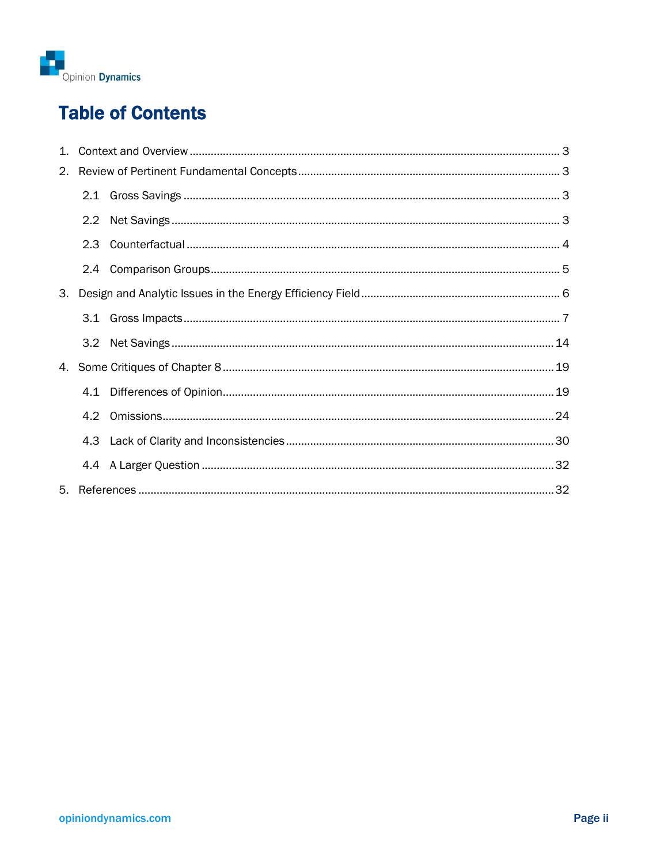

# **Table of Contents**

| 2. |               |  |  |  |  |  |
|----|---------------|--|--|--|--|--|
|    |               |  |  |  |  |  |
|    | 2.2           |  |  |  |  |  |
|    | 2.3           |  |  |  |  |  |
|    | $2.4^{\circ}$ |  |  |  |  |  |
| 3. |               |  |  |  |  |  |
|    | 3.1           |  |  |  |  |  |
|    |               |  |  |  |  |  |
|    |               |  |  |  |  |  |
|    | 4.1           |  |  |  |  |  |
|    | 4.2           |  |  |  |  |  |
|    | 4.3           |  |  |  |  |  |
|    |               |  |  |  |  |  |
|    |               |  |  |  |  |  |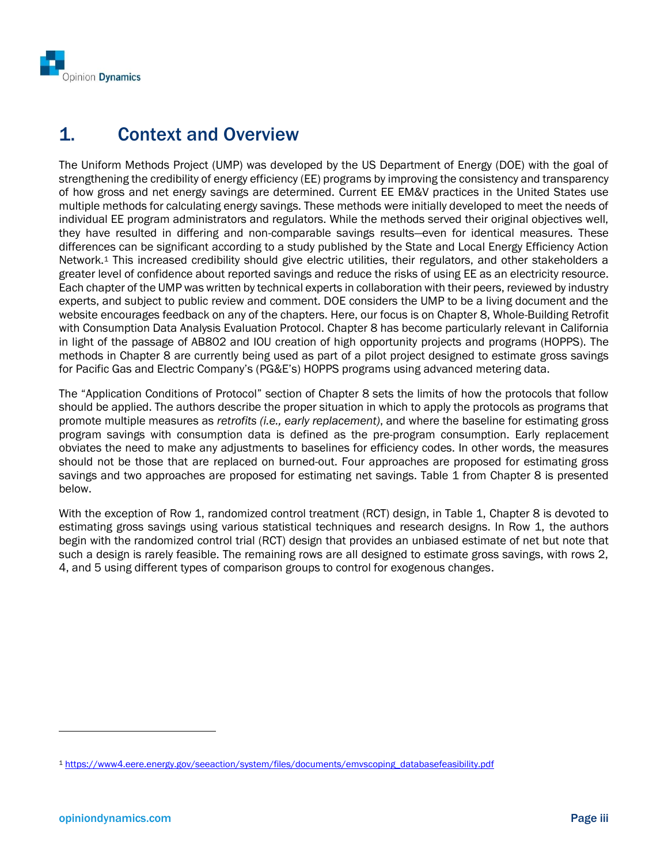

## <span id="page-3-0"></span>1. Context and Overview

The Uniform Methods Project (UMP) was developed by the US Department of Energy (DOE) with the goal of strengthening the credibility of energy efficiency (EE) programs by improving the consistency and transparency of how gross and net energy savings are determined. Current EE EM&V practices in the United States use multiple methods for calculating energy savings. These methods were initially developed to meet the needs of individual EE program administrators and regulators. While the methods served their original objectives well, they have resulted in differing and non-comparable savings results—even for identical measures. These differences can be significant according to a study published by the State and Local Energy Efficiency Action Network.<sup>1</sup> This increased credibility should give electric utilities, their regulators, and other stakeholders a greater level of confidence about reported savings and reduce the risks of using EE as an electricity resource. Each chapter of the UMP was written by technical experts in collaboration with their peers, reviewed by industry experts, and subject to public review and comment. DOE considers the UMP to be a living document and the website encourages feedback on any of the chapters. Here, our focus is on Chapter 8, Whole-Building Retrofit with Consumption Data Analysis Evaluation Protocol. Chapter 8 has become particularly relevant in California in light of the passage of AB802 and IOU creation of high opportunity projects and programs (HOPPS). The methods in Chapter 8 are currently being used as part of a pilot project designed to estimate gross savings for Pacific Gas and Electric Company's (PG&E's) HOPPS programs using advanced metering data.

The "Application Conditions of Protocol" section of Chapter 8 sets the limits of how the protocols that follow should be applied. The authors describe the proper situation in which to apply the protocols as programs that promote multiple measures as *retrofits (i.e., early replacement)*, and where the baseline for estimating gross program savings with consumption data is defined as the pre-program consumption. Early replacement obviates the need to make any adjustments to baselines for efficiency codes. In other words, the measures should not be those that are replaced on burned-out. Four approaches are proposed for estimating gross savings and two approaches are proposed for estimating net savings. Table 1 from Chapter 8 is presented below.

With the exception of Row 1, randomized control treatment (RCT) design, in Table 1, Chapter 8 is devoted to estimating gross savings using various statistical techniques and research designs. In Row 1, the authors begin with the randomized control trial (RCT) design that provides an unbiased estimate of net but note that such a design is rarely feasible. The remaining rows are all designed to estimate gross savings, with rows 2, 4, and 5 using different types of comparison groups to control for exogenous changes.

l

<sup>1</sup> [https://www4.eere.energy.gov/seeaction/system/files/documents/emvscoping\\_databasefeasibility.pdf](https://www4.eere.energy.gov/seeaction/system/files/documents/emvscoping_databasefeasibility.pdf)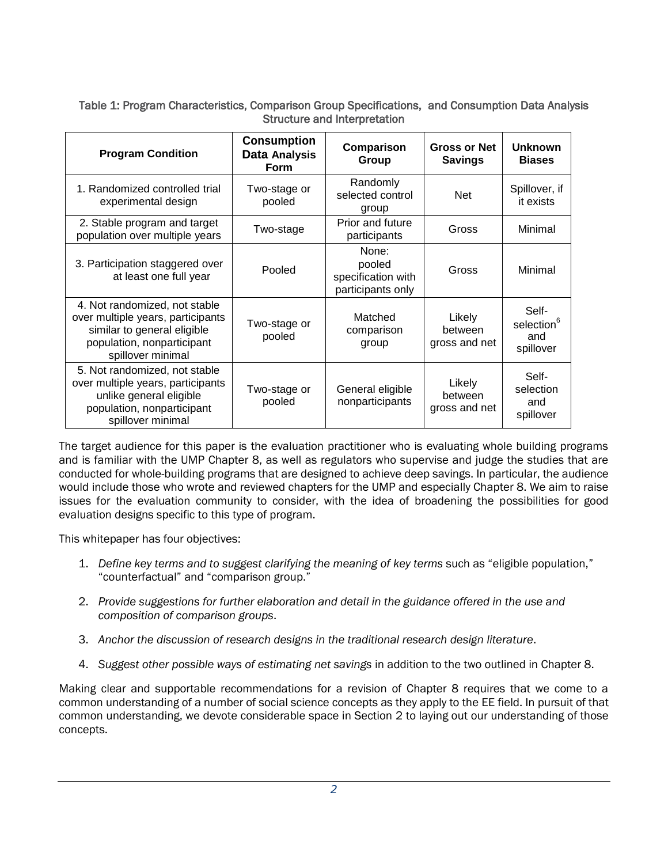Table 1: Program Characteristics, Comparison Group Specifications, and Consumption Data Analysis Structure and Interpretation

| <b>Program Condition</b>                                                                                                                             | <b>Consumption</b><br>Data Analysis<br>Form | Comparison<br>Group                                        | <b>Gross or Net</b><br><b>Savings</b> | <b>Unknown</b><br><b>Biases</b>                     |  |
|------------------------------------------------------------------------------------------------------------------------------------------------------|---------------------------------------------|------------------------------------------------------------|---------------------------------------|-----------------------------------------------------|--|
| 1. Randomized controlled trial<br>experimental design                                                                                                | Two-stage or<br>pooled                      | Randomly<br>selected control<br>group                      | <b>Net</b>                            | Spillover, if<br>it exists                          |  |
| 2. Stable program and target<br>population over multiple years                                                                                       | Two-stage                                   | Prior and future<br>participants                           | Gross                                 | Minimal                                             |  |
| 3. Participation staggered over<br>at least one full year                                                                                            | Pooled                                      | None:<br>pooled<br>specification with<br>participants only | Gross                                 | Minimal                                             |  |
| 4. Not randomized, not stable<br>over multiple years, participants<br>similar to general eligible<br>population, nonparticipant<br>spillover minimal | Two-stage or<br>pooled                      | Matched<br>comparison<br>group                             | Likely<br>between<br>gross and net    | Self-<br>selection <sup>6</sup><br>and<br>spillover |  |
| 5. Not randomized, not stable<br>over multiple years, participants<br>unlike general eligible<br>population, nonparticipant<br>spillover minimal     | Two-stage or<br>pooled                      | General eligible<br>nonparticipants                        | Likely<br>between<br>gross and net    | Self-<br>selection<br>and<br>spillover              |  |

The target audience for this paper is the evaluation practitioner who is evaluating whole building programs and is familiar with the UMP Chapter 8, as well as regulators who supervise and judge the studies that are conducted for whole-building programs that are designed to achieve deep savings. In particular, the audience would include those who wrote and reviewed chapters for the UMP and especially Chapter 8. We aim to raise issues for the evaluation community to consider, with the idea of broadening the possibilities for good evaluation designs specific to this type of program.

This whitepaper has four objectives:

- 1. *Define key terms and to suggest clarifying the meaning of key terms* such as "eligible population," "counterfactual" and "comparison group."
- 2. *Provide suggestions for further elaboration and detail in the guidance offered in the use and composition of comparison groups*.
- 3. *Anchor the discussion of research designs in the traditional research design literature*.
- 4. *Suggest other possible ways of estimating net savings* in addition to the two outlined in Chapter 8.

Making clear and supportable recommendations for a revision of Chapter 8 requires that we come to a common understanding of a number of social science concepts as they apply to the EE field. In pursuit of that common understanding, we devote considerable space in Section [2](#page-5-0) to laying out our understanding of those concepts.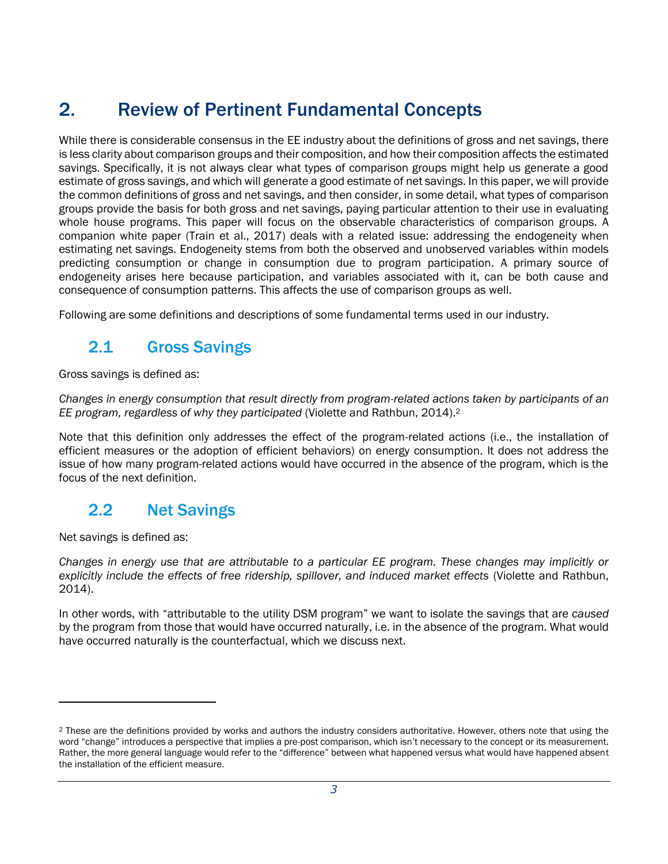# <span id="page-5-0"></span>2. Review of Pertinent Fundamental Concepts

While there is considerable consensus in the EE industry about the definitions of gross and net savings, there is less clarity about comparison groups and their composition, and how their composition affects the estimated savings. Specifically, it is not always clear what types of comparison groups might help us generate a good estimate of gross savings, and which will generate a good estimate of net savings. In this paper, we will provide the common definitions of gross and net savings, and then consider, in some detail, what types of comparison groups provide the basis for both gross and net savings, paying particular attention to their use in evaluating whole house programs. This paper will focus on the observable characteristics of comparison groups. A companion white paper (Train et al., 2017) deals with a related issue: addressing the endogeneity when estimating net savings. Endogeneity stems from both the observed and unobserved variables within models predicting consumption or change in consumption due to program participation. A primary source of endogeneity arises here because participation, and variables associated with it, can be both cause and consequence of consumption patterns. This affects the use of comparison groups as well.

<span id="page-5-1"></span>Following are some definitions and descriptions of some fundamental terms used in our industry.

## 2.1 Gross Savings

Gross savings is defined as:

*Changes in energy consumption that result directly from program-related actions taken by participants of an EE program, regardless of why they participated* (Violette and Rathbun, 2014).<sup>2</sup>

Note that this definition only addresses the effect of the program-related actions (i.e., the installation of efficient measures or the adoption of efficient behaviors) on energy consumption. It does not address the issue of how many program-related actions would have occurred in the absence of the program, which is the focus of the next definition.

## <span id="page-5-2"></span>2.2 Net Savings

Net savings is defined as:

l

*Changes in energy use that are attributable to a particular EE program. These changes may implicitly or explicitly include the effects of free ridership, spillover, and induced market effects* (Violette and Rathbun, 2014).

In other words, with "attributable to the utility DSM program" we want to isolate the savings that are *caused* by the program from those that would have occurred naturally, i.e. in the absence of the program. What would have occurred naturally is the counterfactual, which we discuss next.

<sup>&</sup>lt;sup>2</sup> These are the definitions provided by works and authors the industry considers authoritative. However, others note that using the word "change" introduces a perspective that implies a pre-post comparison, which isn't necessary to the concept or its measurement. Rather, the more general language would refer to the "difference" between what happened versus what would have happened absent the installation of the efficient measure.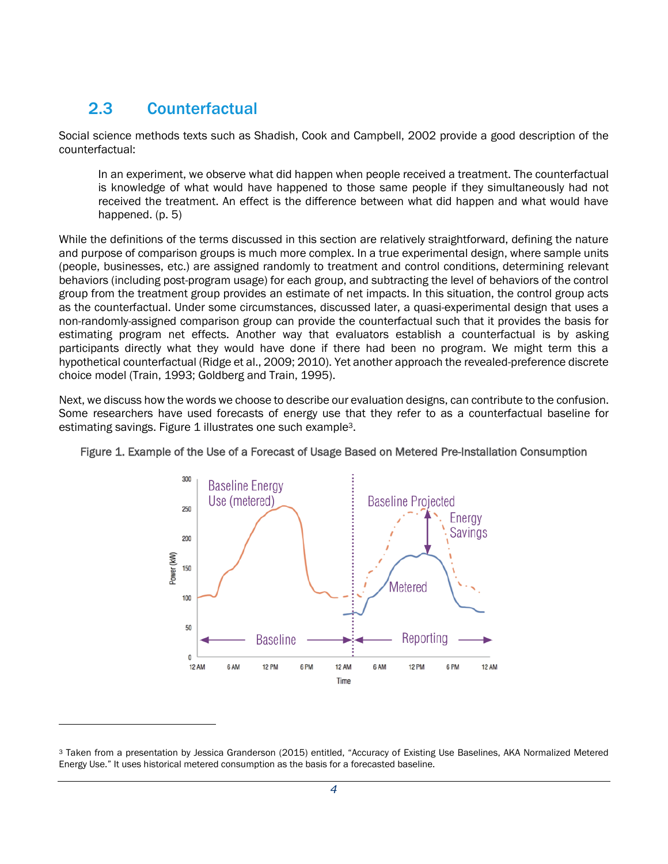## <span id="page-6-0"></span>2.3 Counterfactual

Social science methods texts such as Shadish, Cook and Campbell, 2002 provide a good description of the counterfactual:

In an experiment, we observe what did happen when people received a treatment. The counterfactual is knowledge of what would have happened to those same people if they simultaneously had not received the treatment. An effect is the difference between what did happen and what would have happened. (p. 5)

While the definitions of the terms discussed in this section are relatively straightforward, defining the nature and purpose of comparison groups is much more complex. In a true experimental design, where sample units (people, businesses, etc.) are assigned randomly to treatment and control conditions, determining relevant behaviors (including post-program usage) for each group, and subtracting the level of behaviors of the control group from the treatment group provides an estimate of net impacts. In this situation, the control group acts as the counterfactual. Under some circumstances, discussed later, a quasi-experimental design that uses a non-randomly-assigned comparison group can provide the counterfactual such that it provides the basis for estimating program net effects. Another way that evaluators establish a counterfactual is by asking participants directly what they would have done if there had been no program. We might term this a hypothetical counterfactual (Ridge et al., 2009; 2010). Yet another approach the revealed-preference discrete choice model (Train, 1993; Goldberg and Train, 1995).

Next, we discuss how the words we choose to describe our evaluation designs, can contribute to the confusion. Some researchers have used forecasts of energy use that they refer to as a counterfactual baseline for estimating savings. [Figure 1](#page-6-1) illustrates one such example3.



<span id="page-6-1"></span>Figure 1. Example of the Use of a Forecast of Usage Based on Metered Pre-Installation Consumption

<sup>3</sup> Taken from a presentation by Jessica Granderson (2015) entitled, "Accuracy of Existing Use Baselines, AKA Normalized Metered Energy Use." It uses historical metered consumption as the basis for a forecasted baseline.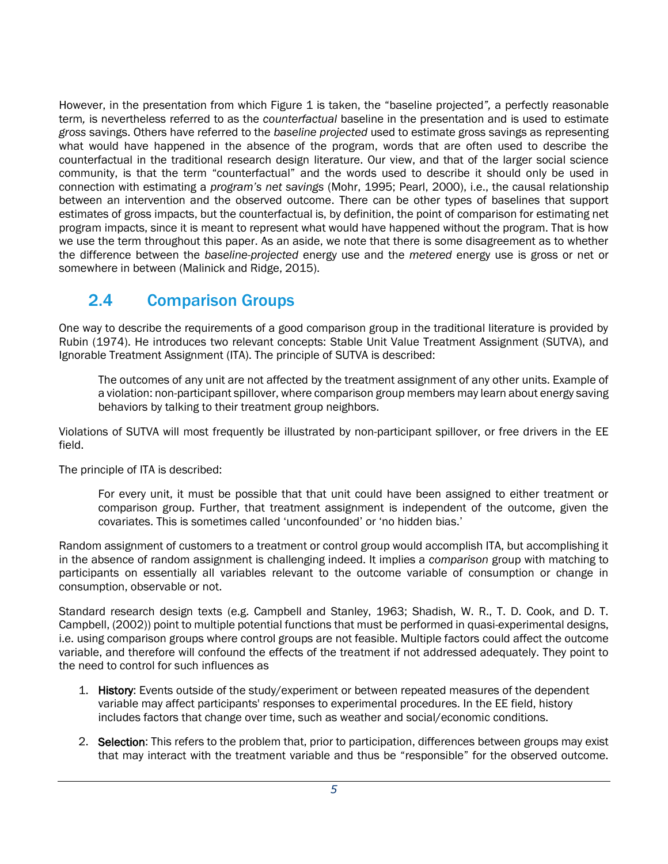However, in the presentation from which Figure 1 is taken, the "baseline projected*",* a perfectly reasonable term*,* is nevertheless referred to as the *counterfactual* baseline in the presentation and is used to estimate *gross* savings. Others have referred to the *baseline projected* used to estimate gross savings as representing what would have happened in the absence of the program, words that are often used to describe the counterfactual in the traditional research design literature. Our view, and that of the larger social science community, is that the term "counterfactual" and the words used to describe it should only be used in connection with estimating a *program's net savings* (Mohr, 1995; Pearl, 2000), i.e., the causal relationship between an intervention and the observed outcome. There can be other types of baselines that support estimates of gross impacts, but the counterfactual is, by definition, the point of comparison for estimating net program impacts, since it is meant to represent what would have happened without the program. That is how we use the term throughout this paper. As an aside, we note that there is some disagreement as to whether the difference between the *baseline-projected* energy use and the *metered* energy use is gross or net or somewhere in between (Malinick and Ridge, 2015).

## <span id="page-7-0"></span>2.4 Comparison Groups

One way to describe the requirements of a good comparison group in the traditional literature is provided by Rubin (1974). He introduces two relevant concepts: Stable Unit Value Treatment Assignment (SUTVA), and Ignorable Treatment Assignment (ITA). The principle of SUTVA is described:

The outcomes of any unit are not affected by the treatment assignment of any other units. Example of a violation: non-participant spillover, where comparison group members may learn about energy saving behaviors by talking to their treatment group neighbors.

Violations of SUTVA will most frequently be illustrated by non-participant spillover, or free drivers in the EE field.

The principle of ITA is described:

For every unit, it must be possible that that unit could have been assigned to either treatment or comparison group. Further, that treatment assignment is independent of the outcome, given the covariates. This is sometimes called 'unconfounded' or 'no hidden bias.'

Random assignment of customers to a treatment or control group would accomplish ITA, but accomplishing it in the absence of random assignment is challenging indeed. It implies a *comparison* group with matching to participants on essentially all variables relevant to the outcome variable of consumption or change in consumption, observable or not.

Standard research design texts (e.g. Campbell and Stanley, 1963; Shadish, W. R., T. D. Cook, and D. T. Campbell, (2002)) point to multiple potential functions that must be performed in quasi-experimental designs, i.e. using comparison groups where control groups are not feasible. Multiple factors could affect the outcome variable, and therefore will confound the effects of the treatment if not addressed adequately. They point to the need to control for such influences as

- 1. History: Events outside of the study/experiment or between repeated measures of the dependent variable may affect participants' responses to experimental procedures. In the EE field, history includes factors that change over time, such as weather and social/economic conditions.
- 2. Selection: This refers to the problem that, prior to participation, differences between groups may exist that may interact with the treatment variable and thus be "responsible" for the observed outcome.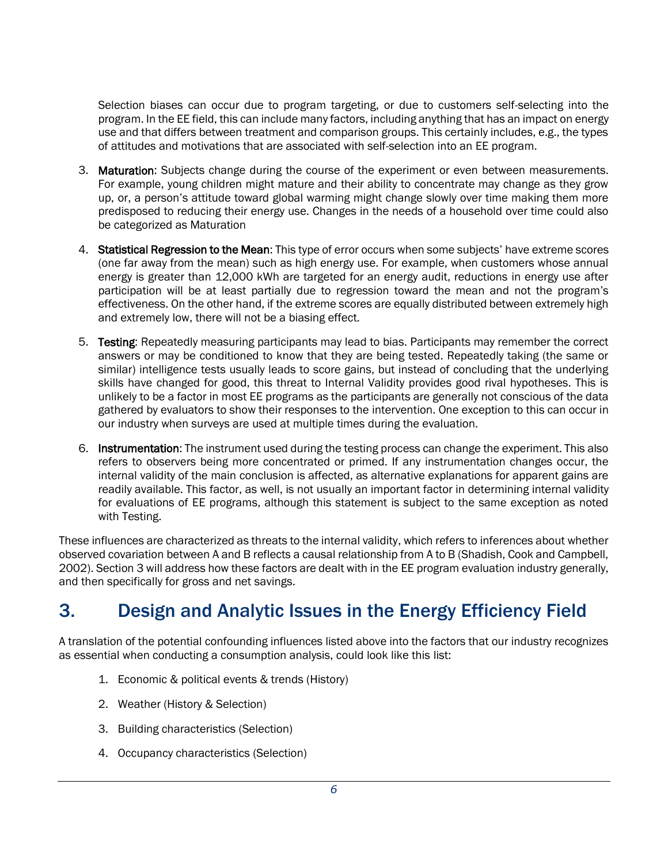Selection biases can occur due to program targeting, or due to customers self-selecting into the program. In the EE field, this can include many factors, including anything that has an impact on energy use and that differs between treatment and comparison groups. This certainly includes, e.g., the types of attitudes and motivations that are associated with self-selection into an EE program.

- 3. Maturation: Subjects change during the course of the experiment or even between measurements. For example, young children might mature and their ability to concentrate may change as they grow up, or, a person's attitude toward global warming might change slowly over time making them more predisposed to reducing their energy use. Changes in the needs of a household over time could also be categorized as Maturation
- 4. Statistical Regression to the Mean: This type of error occurs when some subjects' have extreme scores (one far away from the mean) such as high energy use. For example, when customers whose annual energy is greater than 12,000 kWh are targeted for an energy audit, reductions in energy use after participation will be at least partially due to regression toward the mean and not the program's effectiveness. On the other hand, if the extreme scores are equally distributed between extremely high and extremely low, there will not be a biasing effect.
- 5. Testing: Repeatedly measuring participants may lead to bias. Participants may remember the correct answers or may be conditioned to know that they are being tested. Repeatedly taking (the same or similar) intelligence tests usually leads to score gains, but instead of concluding that the underlying skills have changed for good, this threat to Internal Validity provides good rival hypotheses. This is unlikely to be a factor in most EE programs as the participants are generally not conscious of the data gathered by evaluators to show their responses to the intervention. One exception to this can occur in our industry when surveys are used at multiple times during the evaluation.
- 6. Instrumentation: The instrument used during the testing process can change the experiment. This also refers to observers being more concentrated or primed. If any instrumentation changes occur, the internal validity of the main conclusion is affected, as alternative explanations for apparent gains are readily available. This factor, as well, is not usually an important factor in determining internal validity for evaluations of EE programs, although this statement is subject to the same exception as noted with Testing.

These influences are characterized as threats to the internal validity, which refers to inferences about whether observed covariation between A and B reflects a causal relationship from A to B (Shadish, Cook and Campbell, 2002). Section 3 will address how these factors are dealt with in the EE program evaluation industry generally, and then specifically for gross and net savings.

# <span id="page-8-0"></span>3. Design and Analytic Issues in the Energy Efficiency Field

A translation of the potential confounding influences listed above into the factors that our industry recognizes as essential when conducting a consumption analysis, could look like this list:

- 1. Economic & political events & trends (History)
- 2. Weather (History & Selection)
- 3. Building characteristics (Selection)
- 4. Occupancy characteristics (Selection)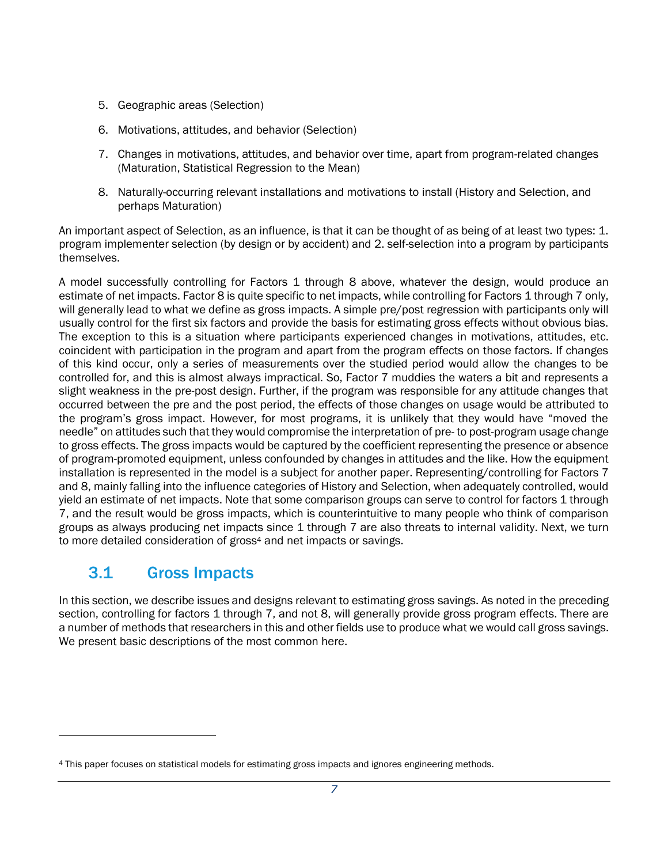- 5. Geographic areas (Selection)
- 6. Motivations, attitudes, and behavior (Selection)
- 7. Changes in motivations, attitudes, and behavior over time, apart from program-related changes (Maturation, Statistical Regression to the Mean)
- 8. Naturally-occurring relevant installations and motivations to install (History and Selection, and perhaps Maturation)

An important aspect of Selection, as an influence, is that it can be thought of as being of at least two types: 1. program implementer selection (by design or by accident) and 2. self-selection into a program by participants themselves.

A model successfully controlling for Factors 1 through 8 above, whatever the design, would produce an estimate of net impacts. Factor 8 is quite specific to net impacts, while controlling for Factors 1 through 7 only, will generally lead to what we define as gross impacts. A simple pre/post regression with participants only will usually control for the first six factors and provide the basis for estimating gross effects without obvious bias. The exception to this is a situation where participants experienced changes in motivations, attitudes, etc. coincident with participation in the program and apart from the program effects on those factors. If changes of this kind occur, only a series of measurements over the studied period would allow the changes to be controlled for, and this is almost always impractical. So, Factor 7 muddies the waters a bit and represents a slight weakness in the pre-post design. Further, if the program was responsible for any attitude changes that occurred between the pre and the post period, the effects of those changes on usage would be attributed to the program's gross impact. However, for most programs, it is unlikely that they would have "moved the needle" on attitudes such that they would compromise the interpretation of pre- to post-program usage change to gross effects. The gross impacts would be captured by the coefficient representing the presence or absence of program-promoted equipment, unless confounded by changes in attitudes and the like. How the equipment installation is represented in the model is a subject for another paper. Representing/controlling for Factors 7 and 8, mainly falling into the influence categories of History and Selection, when adequately controlled, would yield an estimate of net impacts. Note that some comparison groups can serve to control for factors 1 through 7, and the result would be gross impacts, which is counterintuitive to many people who think of comparison groups as always producing net impacts since 1 through 7 are also threats to internal validity. Next, we turn to more detailed consideration of gross<sup>4</sup> and net impacts or savings.

## <span id="page-9-0"></span>3.1 Gross Impacts

In this section, we describe issues and designs relevant to estimating gross savings. As noted in the preceding section, controlling for factors 1 through 7, and not 8, will generally provide gross program effects. There are a number of methods that researchers in this and other fields use to produce what we would call gross savings. We present basic descriptions of the most common here.

<sup>4</sup> This paper focuses on statistical models for estimating gross impacts and ignores engineering methods.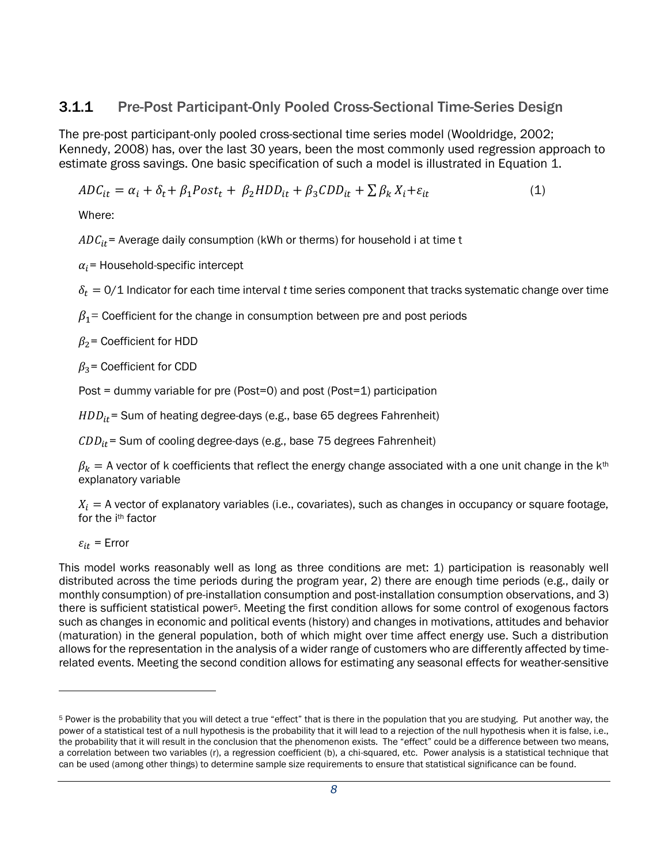#### 3.1.1 Pre-Post Participant-Only Pooled Cross-Sectional Time-Series Design

The pre-post participant-only pooled cross-sectional time series model (Wooldridge, 2002; Kennedy, 2008) has, over the last 30 years, been the most commonly used regression approach to estimate gross savings. One basic specification of such a model is illustrated in Equation 1.

$$
ADC_{it} = \alpha_i + \delta_t + \beta_1 Post_t + \beta_2 HDD_{it} + \beta_3 CDD_{it} + \sum \beta_k X_i + \varepsilon_{it}
$$
\n(1)

Where:

 $ADC_{it}$  = Average daily consumption (kWh or therms) for household i at time t

 $\alpha_i$ = Household-specific intercept

 $\delta_t = 0/1$  Indicator for each time interval *t* time series component that tracks systematic change over time

 $\beta_1$  = Coefficient for the change in consumption between pre and post periods

 $\beta_2$ = Coefficient for HDD

 $\beta_3$ = Coefficient for CDD

Post = dummy variable for pre (Post=0) and post (Post=1) participation

 $HDD_{it}$  = Sum of heating degree-days (e.g., base 65 degrees Fahrenheit)

 $CDD_{it}$  = Sum of cooling degree-days (e.g., base 75 degrees Fahrenheit)

 $\beta_k =$  A vector of k coefficients that reflect the energy change associated with a one unit change in the k<sup>th</sup> explanatory variable

 $X_i = A$  vector of explanatory variables (i.e., covariates), such as changes in occupancy or square footage, for the ith factor

 $\varepsilon_{it}$  = Error

This model works reasonably well as long as three conditions are met: 1) participation is reasonably well distributed across the time periods during the program year, 2) there are enough time periods (e.g., daily or monthly consumption) of pre-installation consumption and post-installation consumption observations, and 3) there is sufficient statistical power5. Meeting the first condition allows for some control of exogenous factors such as changes in economic and political events (history) and changes in motivations, attitudes and behavior (maturation) in the general population, both of which might over time affect energy use. Such a distribution allows for the representation in the analysis of a wider range of customers who are differently affected by timerelated events. Meeting the second condition allows for estimating any seasonal effects for weather-sensitive

<sup>&</sup>lt;sup>5</sup> Power is the probability that you will detect a true "effect" that is there in the population that you are studying. Put another way, the power of a statistical test of a null hypothesis is the probability that it will lead to a rejection of the null hypothesis when it is false, i.e., the probability that it will result in the conclusion that the phenomenon exists. The "effect" could be a difference between two means, a correlation between two variables (r), a regression coefficient (b), a chi-squared, etc. Power analysis is a statistical technique that can be used (among other things) to determine sample size requirements to ensure that statistical significance can be found.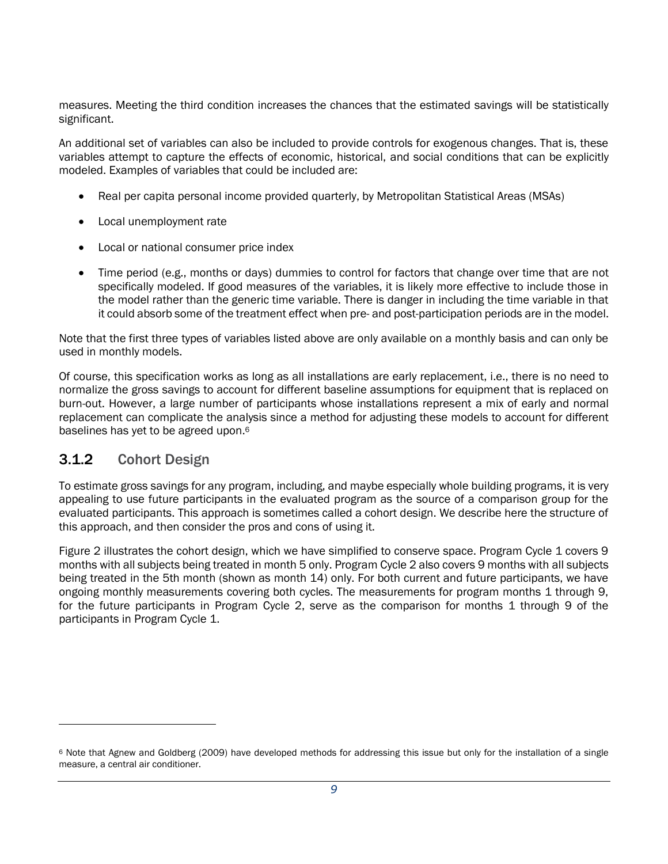measures. Meeting the third condition increases the chances that the estimated savings will be statistically significant.

An additional set of variables can also be included to provide controls for exogenous changes. That is, these variables attempt to capture the effects of economic, historical, and social conditions that can be explicitly modeled. Examples of variables that could be included are:

- Real per capita personal income provided quarterly, by Metropolitan Statistical Areas (MSAs)
- Local unemployment rate
- Local or national consumer price index
- Time period (e.g., months or days) dummies to control for factors that change over time that are not specifically modeled. If good measures of the variables, it is likely more effective to include those in the model rather than the generic time variable. There is danger in including the time variable in that it could absorb some of the treatment effect when pre- and post-participation periods are in the model.

Note that the first three types of variables listed above are only available on a monthly basis and can only be used in monthly models.

Of course, this specification works as long as all installations are early replacement, i.e., there is no need to normalize the gross savings to account for different baseline assumptions for equipment that is replaced on burn-out. However, a large number of participants whose installations represent a mix of early and normal replacement can complicate the analysis since a method for adjusting these models to account for different baselines has yet to be agreed upon.<sup>6</sup>

#### 3.1.2 Cohort Design

To estimate gross savings for any program, including, and maybe especially whole building programs, it is very appealing to use future participants in the evaluated program as the source of a comparison group for the evaluated participants. This approach is sometimes called a cohort design. We describe here the structure of this approach, and then consider the pros and cons of using it.

Figure 2 illustrates the cohort design, which we have simplified to conserve space. Program Cycle 1 covers 9 months with all subjects being treated in month 5 only. Program Cycle 2 also covers 9 months with all subjects being treated in the 5th month (shown as month 14) only. For both current and future participants, we have ongoing monthly measurements covering both cycles. The measurements for program months 1 through 9, for the future participants in Program Cycle 2, serve as the comparison for months 1 through 9 of the participants in Program Cycle 1.

<sup>6</sup> Note that Agnew and Goldberg (2009) have developed methods for addressing this issue but only for the installation of a single measure, a central air conditioner.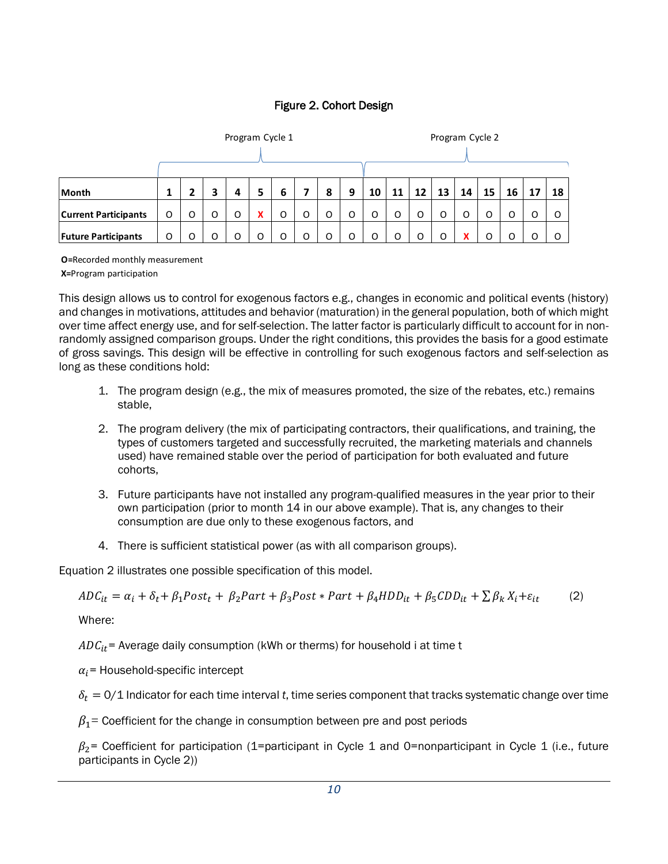#### Figure 2. Cohort Design

|                             |   | Program Cycle 1 |   |   |           |   |   | Program Cycle 2 |   |    |    |    |    |    |    |    |    |    |
|-----------------------------|---|-----------------|---|---|-----------|---|---|-----------------|---|----|----|----|----|----|----|----|----|----|
|                             |   |                 |   |   |           |   |   |                 |   |    |    |    |    |    |    |    |    |    |
| Month                       | 1 |                 | З | 4 | 5         | 6 | 7 | 8               | 9 | 10 | 11 | 12 | 13 | 14 | 15 | 16 | 17 | 18 |
| <b>Current Participants</b> | O | O               | O | O | $\lambda$ | O | O | O               | O | O  | O  | O  | O  | O  | O  | O  | O  | O  |
| <b>Future Participants</b>  | O | O               | O | 0 |           | O | O | O               | O | 0  | O  | O  | O  | x  | O  |    | O  | O  |

**O =**Recorded monthly measurement

**X=**Program participation

This design allows us to control for exogenous factors e.g., changes in economic and political events (history) and changes in motivations, attitudes and behavior (maturation) in the general population, both of which might over time affect energy use, and for self-selection. The latter factor is particularly difficult to account for in nonrandomly assigned comparison groups. Under the right conditions, this provides the basis for a good estimate of gross savings. This design will be effective in controlling for such exogenous factors and self-selection as long as these conditions hold:

- 1. The program design (e.g., the mix of measures promoted, the size of the rebates, etc.) remains stable,
- 2. The program delivery (the mix of participating contractors, their qualifications, and training, the types of customers targeted and successfully recruited, the marketing materials and channels used) have remained stable over the period of participation for both evaluated and future cohorts,
- 3. Future participants have not installed any program-qualified measures in the year prior to their own participation (prior to month 14 in our above example). That is, any changes to their consumption are due only to these exogenous factors, and
- 4. There is sufficient statistical power (as with all comparison groups).

Equation 2 illustrates one possible specification of this model.

 $ADC_{it} = \alpha_i + \delta_t + \beta_1 Post_t + \beta_2 Part + \beta_3 Post * Part + \beta_4 HDD_{it} + \beta_5 CDD_{it} + \sum \beta_k X_i + \varepsilon_{it}$  (2)

Where:

 $ADC_{it}$  = Average daily consumption (kWh or therms) for household i at time t

 $\alpha_i$  = Household-specific intercept

 $\delta_t = 0/1$  Indicator for each time interval *t*, time series component that tracks systematic change over time

 $\beta_1$  = Coefficient for the change in consumption between pre and post periods

 $\beta_2$ = Coefficient for participation (1=participant in Cycle 1 and 0=nonparticipant in Cycle 1 (i.e., future participants in Cycle 2))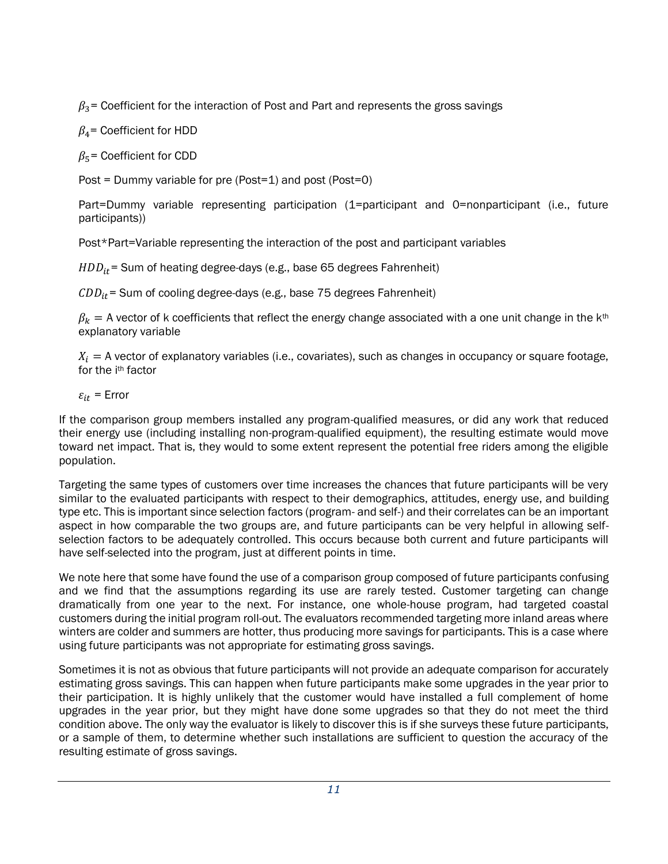$\beta_3$ = Coefficient for the interaction of Post and Part and represents the gross savings

 $\beta_4$ = Coefficient for HDD

 $\beta_5$ = Coefficient for CDD

Post = Dummy variable for pre (Post=1) and post (Post=0)

Part=Dummy variable representing participation (1=participant and 0=nonparticipant (i.e., future participants))

Post\*Part=Variable representing the interaction of the post and participant variables

 $HDD_{it}$  = Sum of heating degree-days (e.g., base 65 degrees Fahrenheit)

 $CDD_{it}$  = Sum of cooling degree-days (e.g., base 75 degrees Fahrenheit)

 $\beta_k = A$  vector of k coefficients that reflect the energy change associated with a one unit change in the k<sup>th</sup> explanatory variable

 $X_i = A$  vector of explanatory variables (i.e., covariates), such as changes in occupancy or square footage, for the ith factor

 $\varepsilon_{it}$  = Error

If the comparison group members installed any program-qualified measures, or did any work that reduced their energy use (including installing non-program-qualified equipment), the resulting estimate would move toward net impact. That is, they would to some extent represent the potential free riders among the eligible population.

Targeting the same types of customers over time increases the chances that future participants will be very similar to the evaluated participants with respect to their demographics, attitudes, energy use, and building type etc. This is important since selection factors (program- and self-) and their correlates can be an important aspect in how comparable the two groups are, and future participants can be very helpful in allowing selfselection factors to be adequately controlled. This occurs because both current and future participants will have self-selected into the program, just at different points in time.

We note here that some have found the use of a comparison group composed of future participants confusing and we find that the assumptions regarding its use are rarely tested. Customer targeting can change dramatically from one year to the next. For instance, one whole-house program, had targeted coastal customers during the initial program roll-out. The evaluators recommended targeting more inland areas where winters are colder and summers are hotter, thus producing more savings for participants. This is a case where using future participants was not appropriate for estimating gross savings.

Sometimes it is not as obvious that future participants will not provide an adequate comparison for accurately estimating gross savings. This can happen when future participants make some upgrades in the year prior to their participation. It is highly unlikely that the customer would have installed a full complement of home upgrades in the year prior, but they might have done some upgrades so that they do not meet the third condition above. The only way the evaluator is likely to discover this is if she surveys these future participants, or a sample of them, to determine whether such installations are sufficient to question the accuracy of the resulting estimate of gross savings.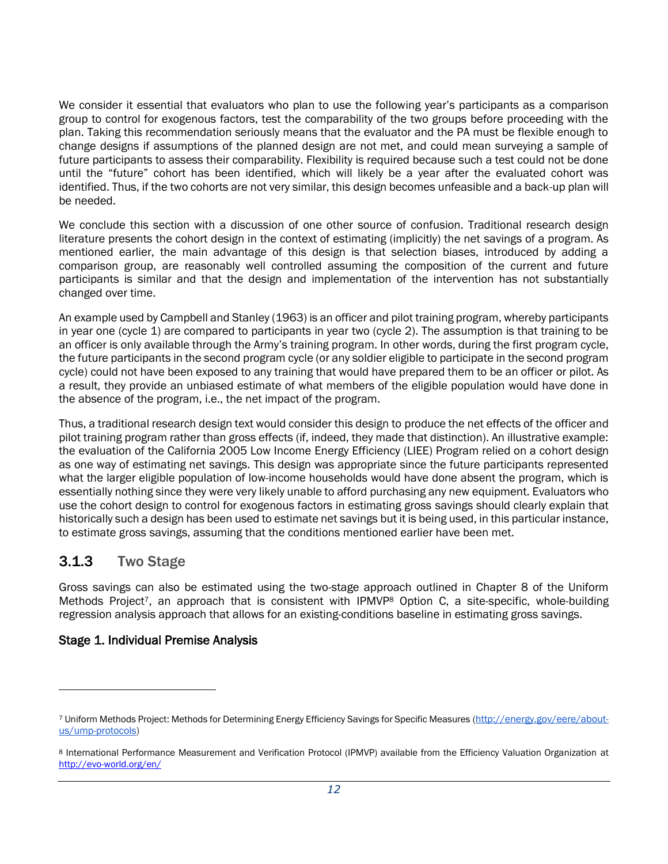We consider it essential that evaluators who plan to use the following year's participants as a comparison group to control for exogenous factors, test the comparability of the two groups before proceeding with the plan. Taking this recommendation seriously means that the evaluator and the PA must be flexible enough to change designs if assumptions of the planned design are not met, and could mean surveying a sample of future participants to assess their comparability. Flexibility is required because such a test could not be done until the "future" cohort has been identified, which will likely be a year after the evaluated cohort was identified. Thus, if the two cohorts are not very similar, this design becomes unfeasible and a back-up plan will be needed.

We conclude this section with a discussion of one other source of confusion. Traditional research design literature presents the cohort design in the context of estimating (implicitly) the net savings of a program. As mentioned earlier, the main advantage of this design is that selection biases, introduced by adding a comparison group, are reasonably well controlled assuming the composition of the current and future participants is similar and that the design and implementation of the intervention has not substantially changed over time.

An example used by Campbell and Stanley (1963) is an officer and pilot training program, whereby participants in year one (cycle 1) are compared to participants in year two (cycle 2). The assumption is that training to be an officer is only available through the Army's training program. In other words, during the first program cycle, the future participants in the second program cycle (or any soldier eligible to participate in the second program cycle) could not have been exposed to any training that would have prepared them to be an officer or pilot. As a result, they provide an unbiased estimate of what members of the eligible population would have done in the absence of the program, i.e., the net impact of the program.

Thus, a traditional research design text would consider this design to produce the net effects of the officer and pilot training program rather than gross effects (if, indeed, they made that distinction). An illustrative example: the evaluation of the California 2005 Low Income Energy Efficiency (LIEE) Program relied on a cohort design as one way of estimating net savings. This design was appropriate since the future participants represented what the larger eligible population of low-income households would have done absent the program, which is essentially nothing since they were very likely unable to afford purchasing any new equipment. Evaluators who use the cohort design to control for exogenous factors in estimating gross savings should clearly explain that historically such a design has been used to estimate net savings but it is being used, in this particular instance, to estimate gross savings, assuming that the conditions mentioned earlier have been met.

#### 3.1.3 Two Stage

 $\overline{a}$ 

Gross savings can also be estimated using the two-stage approach outlined in Chapter 8 of the Uniform Methods Project<sup>7</sup>, an approach that is consistent with IPMVP<sup>8</sup> Option C, a site-specific, whole-building regression analysis approach that allows for an existing-conditions baseline in estimating gross savings.

#### Stage 1. Individual Premise Analysis

<sup>7</sup> Uniform Methods Project: Methods for Determining Energy Efficiency Savings for Specific Measures ([http://energy.gov/eere/about](http://energy.gov/eere/about-us/ump-protocols)[us/ump-protocols\)](http://energy.gov/eere/about-us/ump-protocols)

<sup>8</sup> International Performance Measurement and Verification Protocol (IPMVP) available from the Efficiency Valuation Organization at <http://evo-world.org/en/>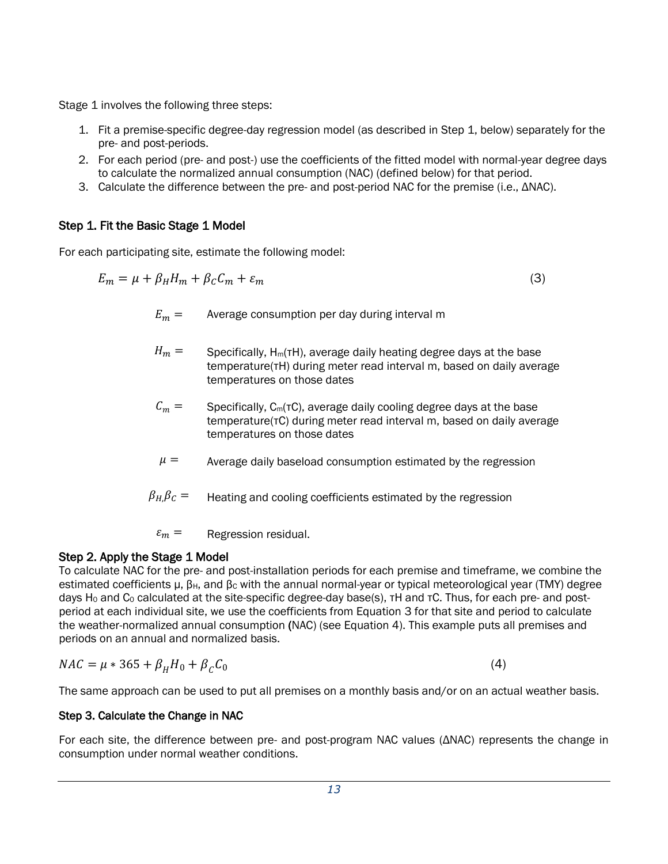Stage 1 involves the following three steps:

- 1. Fit a premise-specific degree-day regression model (as described in Step 1, below) separately for the pre- and post-periods.
- 2. For each period (pre- and post-) use the coefficients of the fitted model with normal-year degree days to calculate the normalized annual consumption (NAC) (defined below) for that period.
- 3. Calculate the difference between the pre- and post-period NAC for the premise (i.e., ΔNAC).

#### Step 1. Fit the Basic Stage 1 Model

For each participating site, estimate the following model:

$$
E_m = \mu + \beta_H H_m + \beta_C C_m + \varepsilon_m \tag{3}
$$

- $E_m =$  Average consumption per day during interval m
- $H_m =$  Specifically, H<sub>m</sub>(τH), average daily heating degree days at the base temperature(τH) during meter read interval m, based on daily average temperatures on those dates
- $C_m =$  Specifically, C<sub>m</sub>(τC), average daily cooling degree days at the base temperature(τC) during meter read interval m, based on daily average temperatures on those dates
- $\mu =$  Average daily baseload consumption estimated by the regression
- $\beta_H$ ,  $\beta_C$  = Heating and cooling coefficients estimated by the regression

 $\varepsilon_m =$  Regression residual.

#### Step 2. Apply the Stage 1 Model

To calculate NAC for the pre- and post-installation periods for each premise and timeframe, we combine the estimated coefficients μ, β<sub>H</sub>, and β<sub>c</sub> with the annual normal-year or typical meteorological year (TMY) degree days H<sub>0</sub> and C<sub>0</sub> calculated at the site-specific degree-day base(s), τH and τC. Thus, for each pre- and postperiod at each individual site, we use the coefficients from Equation 3 for that site and period to calculate the weather-normalized annual consumption (NAC) (see Equation 4). This example puts all premises and periods on an annual and normalized basis.

$$
NAC = \mu * 365 + \beta_H H_0 + \beta_C C_0
$$

(4)

The same approach can be used to put all premises on a monthly basis and/or on an actual weather basis.

#### Step 3. Calculate the Change in NAC

For each site, the difference between pre- and post-program NAC values (ΔNAC) represents the change in consumption under normal weather conditions.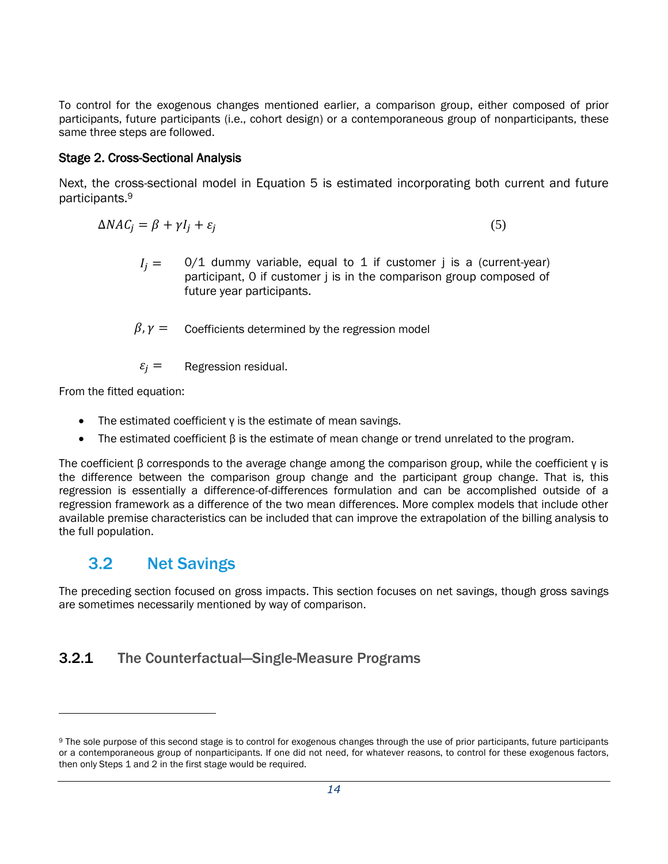To control for the exogenous changes mentioned earlier, a comparison group, either composed of prior participants, future participants (i.e., cohort design) or a contemporaneous group of nonparticipants, these same three steps are followed.

#### Stage 2. Cross-Sectional Analysis

Next, the cross-sectional model in Equation 5 is estimated incorporating both current and future participants.<sup>9</sup>

$$
\Delta NAC_j = \beta + \gamma I_j + \varepsilon_j \tag{5}
$$

- $I_i = 0/1$  dummy variable, equal to 1 if customer j is a (current-year) participant, 0 if customer *j* is in the comparison group composed of future year participants.
- $\beta, \gamma =$  Coefficients determined by the regression model

 $\varepsilon_i =$  Regression residual.

From the fitted equation:

l

- The estimated coefficient γ is the estimate of mean savings.
- The estimated coefficient β is the estimate of mean change or trend unrelated to the program.

The coefficient β corresponds to the average change among the comparison group, while the coefficient γ is the difference between the comparison group change and the participant group change. That is, this regression is essentially a difference-of-differences formulation and can be accomplished outside of a regression framework as a difference of the two mean differences. More complex models that include other available premise characteristics can be included that can improve the extrapolation of the billing analysis to the full population.

## <span id="page-16-0"></span>3.2 Net Savings

The preceding section focused on gross impacts. This section focuses on net savings, though gross savings are sometimes necessarily mentioned by way of comparison.

#### 3.2.1 The Counterfactual—Single-Measure Programs

<sup>9</sup> The sole purpose of this second stage is to control for exogenous changes through the use of prior participants, future participants or a contemporaneous group of nonparticipants. If one did not need, for whatever reasons, to control for these exogenous factors, then only Steps 1 and 2 in the first stage would be required.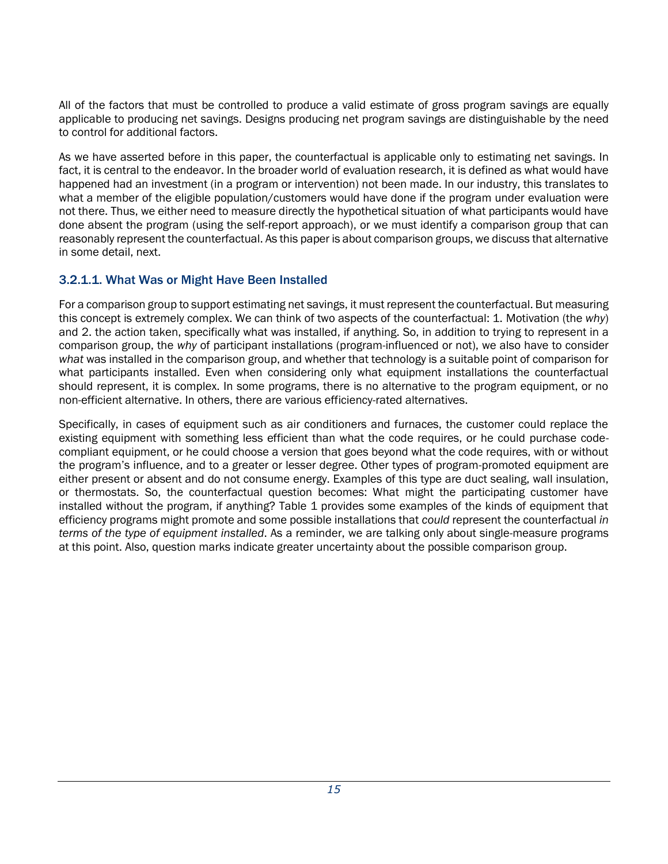All of the factors that must be controlled to produce a valid estimate of gross program savings are equally applicable to producing net savings. Designs producing net program savings are distinguishable by the need to control for additional factors.

As we have asserted before in this paper, the counterfactual is applicable only to estimating net savings. In fact, it is central to the endeavor. In the broader world of evaluation research, it is defined as what would have happened had an investment (in a program or intervention) not been made. In our industry, this translates to what a member of the eligible population/customers would have done if the program under evaluation were not there. Thus, we either need to measure directly the hypothetical situation of what participants would have done absent the program (using the self-report approach), or we must identify a comparison group that can reasonably represent the counterfactual. As this paper is about comparison groups, we discuss that alternative in some detail, next.

#### 3.2.1.1. What Was or Might Have Been Installed

For a comparison group to support estimating net savings, it must represent the counterfactual. But measuring this concept is extremely complex. We can think of two aspects of the counterfactual: 1. Motivation (the *why*) and 2. the action taken, specifically what was installed, if anything. So, in addition to trying to represent in a comparison group, the *why* of participant installations (program-influenced or not), we also have to consider *what* was installed in the comparison group, and whether that technology is a suitable point of comparison for what participants installed. Even when considering only what equipment installations the counterfactual should represent, it is complex. In some programs, there is no alternative to the program equipment, or no non-efficient alternative. In others, there are various efficiency-rated alternatives.

Specifically, in cases of equipment such as air conditioners and furnaces, the customer could replace the existing equipment with something less efficient than what the code requires, or he could purchase codecompliant equipment, or he could choose a version that goes beyond what the code requires, with or without the program's influence, and to a greater or lesser degree. Other types of program-promoted equipment are either present or absent and do not consume energy. Examples of this type are duct sealing, wall insulation, or thermostats. So, the counterfactual question becomes: What might the participating customer have installed without the program, if anything? Table 1 provides some examples of the kinds of equipment that efficiency programs might promote and some possible installations that *could* represent the counterfactual *in terms of the type of equipment installed*. As a reminder, we are talking only about single-measure programs at this point. Also, question marks indicate greater uncertainty about the possible comparison group.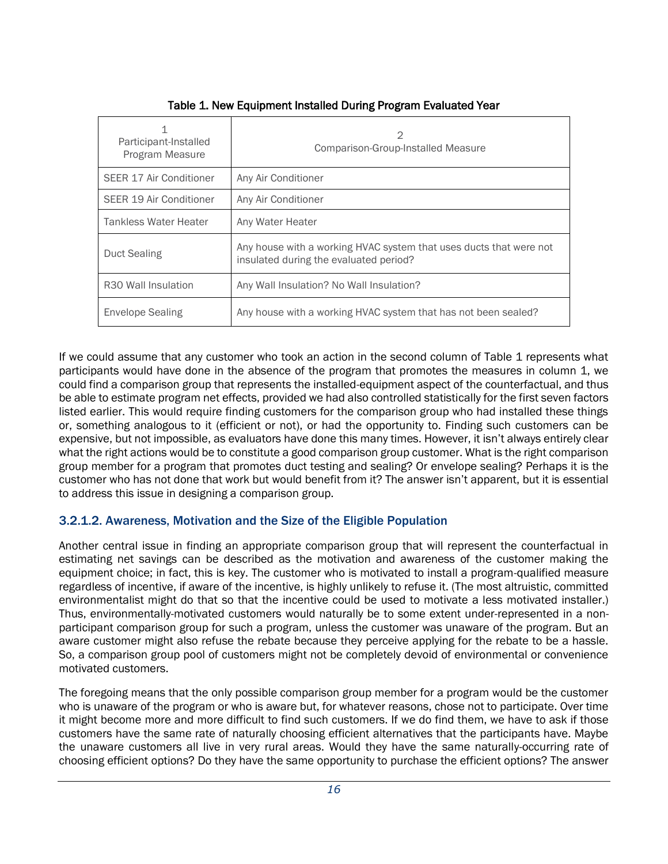| Participant-Installed<br>Program Measure | 2<br>Comparison-Group-Installed Measure                                                                      |  |  |  |  |  |  |
|------------------------------------------|--------------------------------------------------------------------------------------------------------------|--|--|--|--|--|--|
| SEER 17 Air Conditioner                  | Any Air Conditioner                                                                                          |  |  |  |  |  |  |
| SEER 19 Air Conditioner                  | Any Air Conditioner                                                                                          |  |  |  |  |  |  |
| Tankless Water Heater                    | Any Water Heater                                                                                             |  |  |  |  |  |  |
| Duct Sealing                             | Any house with a working HVAC system that uses ducts that were not<br>insulated during the evaluated period? |  |  |  |  |  |  |
| R <sub>30</sub> Wall Insulation          | Any Wall Insulation? No Wall Insulation?                                                                     |  |  |  |  |  |  |
| Envelope Sealing                         | Any house with a working HVAC system that has not been sealed?                                               |  |  |  |  |  |  |

Table 1. New Equipment Installed During Program Evaluated Year

If we could assume that any customer who took an action in the second column of Table 1 represents what participants would have done in the absence of the program that promotes the measures in column 1, we could find a comparison group that represents the installed-equipment aspect of the counterfactual, and thus be able to estimate program net effects, provided we had also controlled statistically for the first seven factors listed earlier. This would require finding customers for the comparison group who had installed these things or, something analogous to it (efficient or not), or had the opportunity to. Finding such customers can be expensive, but not impossible, as evaluators have done this many times. However, it isn't always entirely clear what the right actions would be to constitute a good comparison group customer. What is the right comparison group member for a program that promotes duct testing and sealing? Or envelope sealing? Perhaps it is the customer who has not done that work but would benefit from it? The answer isn't apparent, but it is essential to address this issue in designing a comparison group.

#### 3.2.1.2. Awareness, Motivation and the Size of the Eligible Population

Another central issue in finding an appropriate comparison group that will represent the counterfactual in estimating net savings can be described as the motivation and awareness of the customer making the equipment choice; in fact, this is key. The customer who is motivated to install a program-qualified measure regardless of incentive, if aware of the incentive, is highly unlikely to refuse it. (The most altruistic, committed environmentalist might do that so that the incentive could be used to motivate a less motivated installer.) Thus, environmentally-motivated customers would naturally be to some extent under-represented in a nonparticipant comparison group for such a program, unless the customer was unaware of the program. But an aware customer might also refuse the rebate because they perceive applying for the rebate to be a hassle. So, a comparison group pool of customers might not be completely devoid of environmental or convenience motivated customers.

The foregoing means that the only possible comparison group member for a program would be the customer who is unaware of the program or who is aware but, for whatever reasons, chose not to participate. Over time it might become more and more difficult to find such customers. If we do find them, we have to ask if those customers have the same rate of naturally choosing efficient alternatives that the participants have. Maybe the unaware customers all live in very rural areas. Would they have the same naturally-occurring rate of choosing efficient options? Do they have the same opportunity to purchase the efficient options? The answer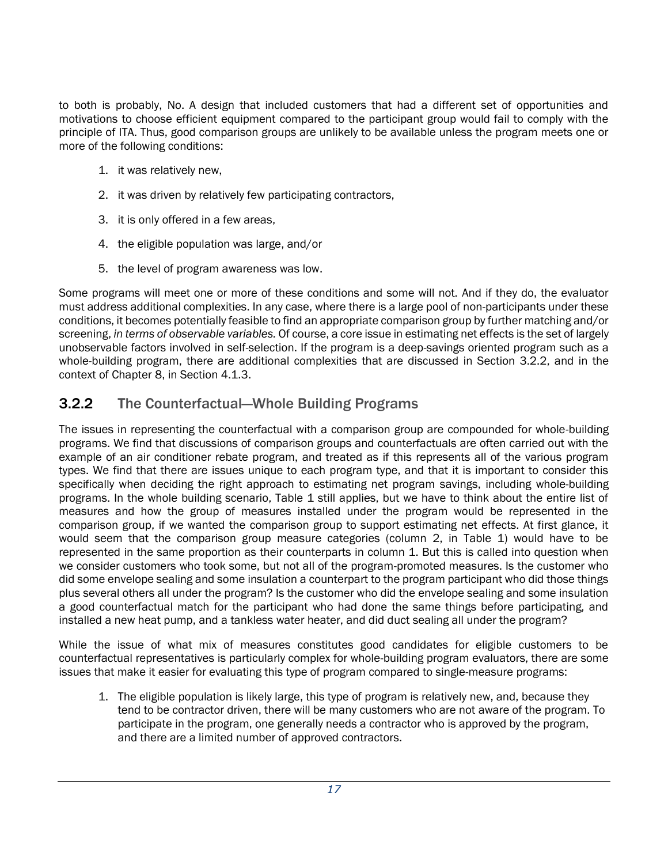to both is probably, No. A design that included customers that had a different set of opportunities and motivations to choose efficient equipment compared to the participant group would fail to comply with the principle of ITA. Thus, good comparison groups are unlikely to be available unless the program meets one or more of the following conditions:

- 1. it was relatively new,
- 2. it was driven by relatively few participating contractors,
- 3. it is only offered in a few areas,
- 4. the eligible population was large, and/or
- 5. the level of program awareness was low.

Some programs will meet one or more of these conditions and some will not. And if they do, the evaluator must address additional complexities. In any case, where there is a large pool of non-participants under these conditions, it becomes potentially feasible to find an appropriate comparison group by further matching and/or screening, *in terms of observable variables.* Of course, a core issue in estimating net effects is the set of largely unobservable factors involved in self-selection. If the program is a deep-savings oriented program such as a whole-building program, there are additional complexities that are discussed in Section [3.2.2,](#page-19-0) and in the context of Chapter 8, in Section [4.1.3.](#page-23-0)

## <span id="page-19-0"></span>3.2.2 The Counterfactual—Whole Building Programs

The issues in representing the counterfactual with a comparison group are compounded for whole-building programs. We find that discussions of comparison groups and counterfactuals are often carried out with the example of an air conditioner rebate program, and treated as if this represents all of the various program types. We find that there are issues unique to each program type, and that it is important to consider this specifically when deciding the right approach to estimating net program savings, including whole-building programs. In the whole building scenario, Table 1 still applies, but we have to think about the entire list of measures and how the group of measures installed under the program would be represented in the comparison group, if we wanted the comparison group to support estimating net effects. At first glance, it would seem that the comparison group measure categories (column 2, in Table 1) would have to be represented in the same proportion as their counterparts in column 1. But this is called into question when we consider customers who took some, but not all of the program-promoted measures. Is the customer who did some envelope sealing and some insulation a counterpart to the program participant who did those things plus several others all under the program? Is the customer who did the envelope sealing and some insulation a good counterfactual match for the participant who had done the same things before participating, and installed a new heat pump, and a tankless water heater, and did duct sealing all under the program?

While the issue of what mix of measures constitutes good candidates for eligible customers to be counterfactual representatives is particularly complex for whole-building program evaluators, there are some issues that make it easier for evaluating this type of program compared to single-measure programs:

1. The eligible population is likely large, this type of program is relatively new, and, because they tend to be contractor driven, there will be many customers who are not aware of the program. To participate in the program, one generally needs a contractor who is approved by the program, and there are a limited number of approved contractors.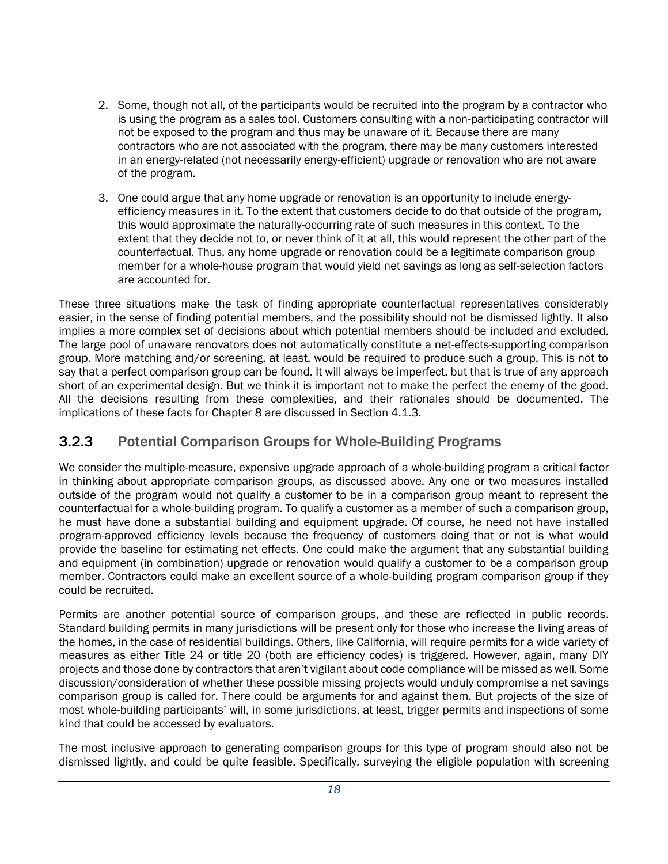- 2. Some, though not all, of the participants would be recruited into the program by a contractor who is using the program as a sales tool. Customers consulting with a non-participating contractor will not be exposed to the program and thus may be unaware of it. Because there are many contractors who are not associated with the program, there may be many customers interested in an energy-related (not necessarily energy-efficient) upgrade or renovation who are not aware of the program.
- 3. One could argue that any home upgrade or renovation is an opportunity to include energyefficiency measures in it. To the extent that customers decide to do that outside of the program, this would approximate the naturally-occurring rate of such measures in this context. To the extent that they decide not to, or never think of it at all, this would represent the other part of the counterfactual. Thus, any home upgrade or renovation could be a legitimate comparison group member for a whole-house program that would yield net savings as long as self-selection factors are accounted for.

These three situations make the task of finding appropriate counterfactual representatives considerably easier, in the sense of finding potential members, and the possibility should not be dismissed lightly. It also implies a more complex set of decisions about which potential members should be included and excluded. The large pool of unaware renovators does not automatically constitute a net-effects-supporting comparison group. More matching and/or screening, at least, would be required to produce such a group. This is not to say that a perfect comparison group can be found. It will always be imperfect, but that is true of any approach short of an experimental design. But we think it is important not to make the perfect the enemy of the good. All the decisions resulting from these complexities, and their rationales should be documented. The implications of these facts for Chapter 8 are discussed in Sectio[n 4.1.3.](#page-23-0)

#### 3.2.3 Potential Comparison Groups for Whole-Building Programs

We consider the multiple-measure, expensive upgrade approach of a whole-building program a critical factor in thinking about appropriate comparison groups, as discussed above. Any one or two measures installed outside of the program would not qualify a customer to be in a comparison group meant to represent the counterfactual for a whole-building program. To qualify a customer as a member of such a comparison group, he must have done a substantial building and equipment upgrade. Of course, he need not have installed program-approved efficiency levels because the frequency of customers doing that or not is what would provide the baseline for estimating net effects. One could make the argument that any substantial building and equipment (in combination) upgrade or renovation would qualify a customer to be a comparison group member. Contractors could make an excellent source of a whole-building program comparison group if they could be recruited.

Permits are another potential source of comparison groups, and these are reflected in public records. Standard building permits in many jurisdictions will be present only for those who increase the living areas of the homes, in the case of residential buildings. Others, like California, will require permits for a wide variety of measures as either Title 24 or title 20 (both are efficiency codes) is triggered. However, again, many DIY projects and those done by contractors that aren't vigilant about code compliance will be missed as well. Some discussion/consideration of whether these possible missing projects would unduly compromise a net savings comparison group is called for. There could be arguments for and against them. But projects of the size of most whole-building participants' will, in some jurisdictions, at least, trigger permits and inspections of some kind that could be accessed by evaluators.

The most inclusive approach to generating comparison groups for this type of program should also not be dismissed lightly, and could be quite feasible. Specifically, surveying the eligible population with screening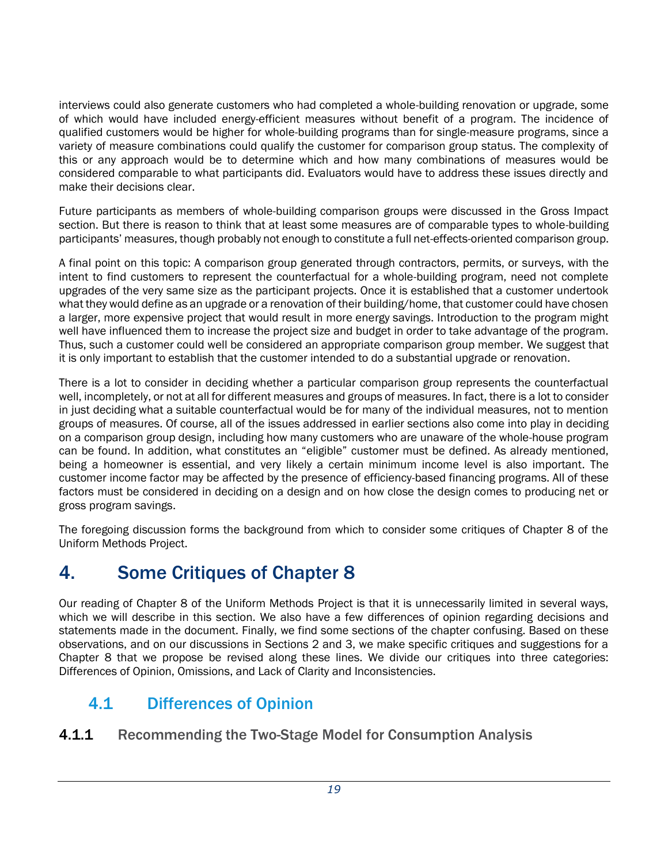interviews could also generate customers who had completed a whole-building renovation or upgrade, some of which would have included energy-efficient measures without benefit of a program. The incidence of qualified customers would be higher for whole-building programs than for single-measure programs, since a variety of measure combinations could qualify the customer for comparison group status. The complexity of this or any approach would be to determine which and how many combinations of measures would be considered comparable to what participants did. Evaluators would have to address these issues directly and make their decisions clear.

Future participants as members of whole-building comparison groups were discussed in the Gross Impact section. But there is reason to think that at least some measures are of comparable types to whole-building participants' measures, though probably not enough to constitute a full net-effects-oriented comparison group.

A final point on this topic: A comparison group generated through contractors, permits, or surveys, with the intent to find customers to represent the counterfactual for a whole-building program, need not complete upgrades of the very same size as the participant projects. Once it is established that a customer undertook what they would define as an upgrade or a renovation of their building/home, that customer could have chosen a larger, more expensive project that would result in more energy savings. Introduction to the program might well have influenced them to increase the project size and budget in order to take advantage of the program. Thus, such a customer could well be considered an appropriate comparison group member. We suggest that it is only important to establish that the customer intended to do a substantial upgrade or renovation.

There is a lot to consider in deciding whether a particular comparison group represents the counterfactual well, incompletely, or not at all for different measures and groups of measures. In fact, there is a lot to consider in just deciding what a suitable counterfactual would be for many of the individual measures, not to mention groups of measures. Of course, all of the issues addressed in earlier sections also come into play in deciding on a comparison group design, including how many customers who are unaware of the whole-house program can be found. In addition, what constitutes an "eligible" customer must be defined. As already mentioned, being a homeowner is essential, and very likely a certain minimum income level is also important. The customer income factor may be affected by the presence of efficiency-based financing programs. All of these factors must be considered in deciding on a design and on how close the design comes to producing net or gross program savings.

The foregoing discussion forms the background from which to consider some critiques of Chapter 8 of the Uniform Methods Project.

# <span id="page-21-0"></span>4. Some Critiques of Chapter 8

Our reading of Chapter 8 of the Uniform Methods Project is that it is unnecessarily limited in several ways, which we will describe in this section. We also have a few differences of opinion regarding decisions and statements made in the document. Finally, we find some sections of the chapter confusing. Based on these observations, and on our discussions in Sections 2 and 3, we make specific critiques and suggestions for a Chapter 8 that we propose be revised along these lines. We divide our critiques into three categories: Differences of Opinion, Omissions, and Lack of Clarity and Inconsistencies.

## <span id="page-21-1"></span>4.1 Differences of Opinion

#### <span id="page-21-2"></span>4.1.1 Recommending the Two-Stage Model for Consumption Analysis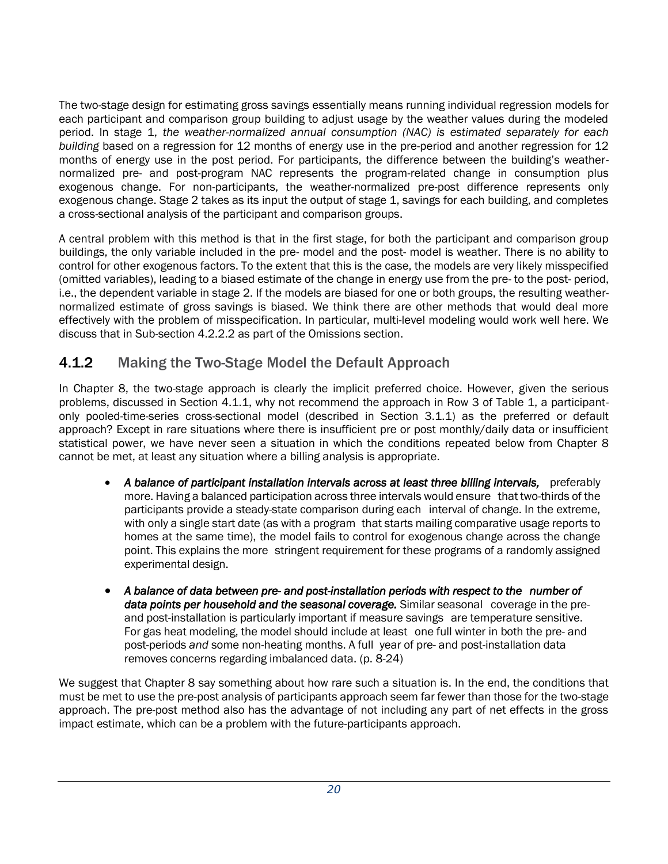The two-stage design for estimating gross savings essentially means running individual regression models for each participant and comparison group building to adjust usage by the weather values during the modeled period. In stage 1, *the weather-normalized annual consumption (NAC) is estimated separately for each building* based on a regression for 12 months of energy use in the pre-period and another regression for 12 months of energy use in the post period. For participants, the difference between the building's weathernormalized pre- and post-program NAC represents the program-related change in consumption plus exogenous change. For non-participants, the weather-normalized pre-post difference represents only exogenous change. Stage 2 takes as its input the output of stage 1, savings for each building, and completes a cross-sectional analysis of the participant and comparison groups.

A central problem with this method is that in the first stage, for both the participant and comparison group buildings, the only variable included in the pre- model and the post- model is weather. There is no ability to control for other exogenous factors. To the extent that this is the case, the models are very likely misspecified (omitted variables), leading to a biased estimate of the change in energy use from the pre- to the post- period, i.e., the dependent variable in stage 2. If the models are biased for one or both groups, the resulting weathernormalized estimate of gross savings is biased. We think there are other methods that would deal more effectively with the problem of misspecification. In particular, multi-level modeling would work well here. We discuss that in Sub-section [4.2.2.2](#page-28-0) as part of the Omissions section.

#### 4.1.2 Making the Two-Stage Model the Default Approach

In Chapter 8, the two-stage approach is clearly the implicit preferred choice. However, given the serious problems, discussed in Section [4.1.1,](#page-21-2) why not recommend the approach in Row 3 of Table 1, a participantonly pooled-time-series cross-sectional model (described in Section 3.1.1) as the preferred or default approach? Except in rare situations where there is insufficient pre or post monthly/daily data or insufficient statistical power, we have never seen a situation in which the conditions repeated below from Chapter 8 cannot be met, at least any situation where a billing analysis is appropriate.

- *A balance of participant installation intervals across at least three billing intervals,* preferably more. Having a balanced participation across three intervals would ensure that two-thirds of the participants provide a steady-state comparison during each interval of change. In the extreme, with only a single start date (as with a program that starts mailing comparative usage reports to homes at the same time), the model fails to control for exogenous change across the change point. This explains the more stringent requirement for these programs of a randomly assigned experimental design.
- *A balance of data between pre- and post-installation periods with respect to the number of data points per household and the seasonal coverage.* Similar seasonal coverage in the preand post-installation is particularly important if measure savings are temperature sensitive. For gas heat modeling, the model should include at least one full winter in both the pre- and post-periods *and* some non-heating months. A full year of pre- and post-installation data removes concerns regarding imbalanced data. (p. 8-24)

We suggest that Chapter 8 say something about how rare such a situation is. In the end, the conditions that must be met to use the pre-post analysis of participants approach seem far fewer than those for the two-stage approach. The pre-post method also has the advantage of not including any part of net effects in the gross impact estimate, which can be a problem with the future-participants approach.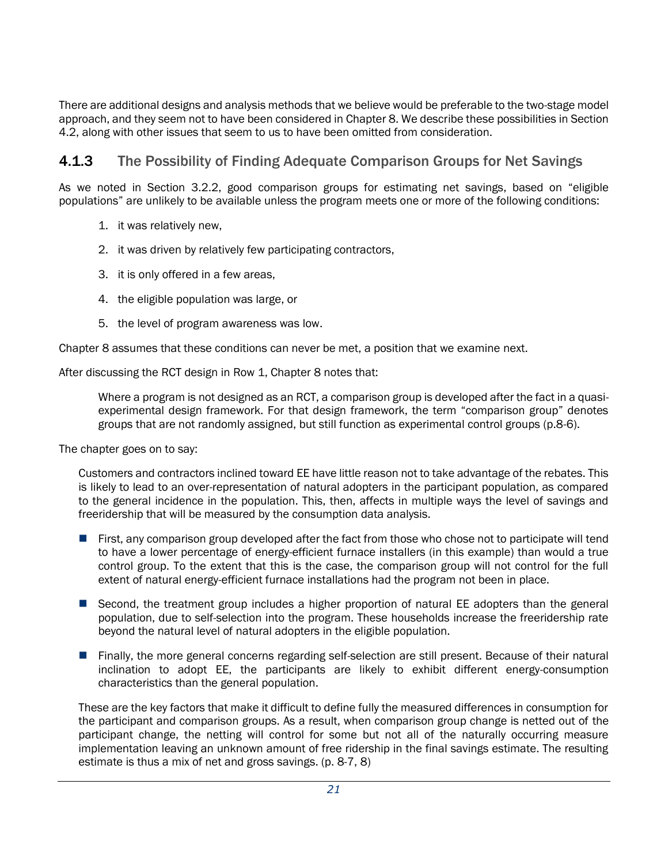There are additional designs and analysis methods that we believe would be preferable to the two-stage model approach, and they seem not to have been considered in Chapter 8. We describe these possibilities in Section [4.2,](#page-26-0) along with other issues that seem to us to have been omitted from consideration.

#### <span id="page-23-0"></span>**4.1.3** The Possibility of Finding Adequate Comparison Groups for Net Savings

As we noted in Section [3.2.2,](#page-19-0) good comparison groups for estimating net savings, based on "eligible populations" are unlikely to be available unless the program meets one or more of the following conditions:

- 1. it was relatively new,
- 2. it was driven by relatively few participating contractors,
- 3. it is only offered in a few areas,
- 4. the eligible population was large, or
- 5. the level of program awareness was low.

Chapter 8 assumes that these conditions can never be met, a position that we examine next.

After discussing the RCT design in Row 1, Chapter 8 notes that:

Where a program is not designed as an RCT, a comparison group is developed after the fact in a quasiexperimental design framework. For that design framework, the term "comparison group" denotes groups that are not randomly assigned, but still function as experimental control groups (p.8-6).

The chapter goes on to say:

Customers and contractors inclined toward EE have little reason not to take advantage of the rebates. This is likely to lead to an over-representation of natural adopters in the participant population, as compared to the general incidence in the population. This, then, affects in multiple ways the level of savings and freeridership that will be measured by the consumption data analysis.

- **First, any comparison group developed after the fact from those who chose not to participate will tend** to have a lower percentage of energy-efficient furnace installers (in this example) than would a true control group. To the extent that this is the case, the comparison group will not control for the full extent of natural energy-efficient furnace installations had the program not been in place.
- Second, the treatment group includes a higher proportion of natural EE adopters than the general population, due to self-selection into the program. These households increase the freeridership rate beyond the natural level of natural adopters in the eligible population.
- Finally, the more general concerns regarding self-selection are still present. Because of their natural inclination to adopt EE, the participants are likely to exhibit different energy-consumption characteristics than the general population.

These are the key factors that make it difficult to define fully the measured differences in consumption for the participant and comparison groups. As a result, when comparison group change is netted out of the participant change, the netting will control for some but not all of the naturally occurring measure implementation leaving an unknown amount of free ridership in the final savings estimate. The resulting estimate is thus a mix of net and gross savings. (p. 8-7, 8)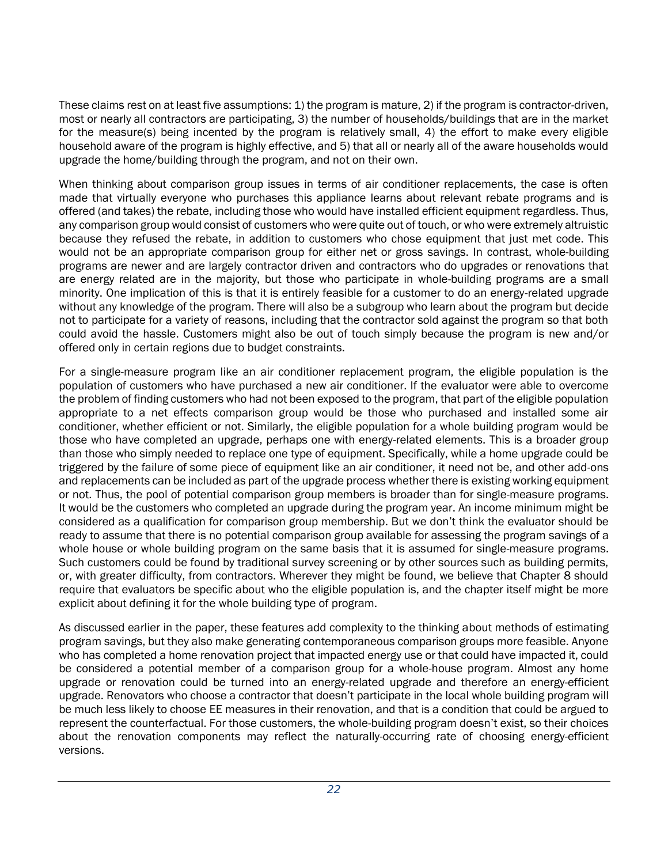These claims rest on at least five assumptions: 1) the program is mature, 2) if the program is contractor-driven, most or nearly all contractors are participating, 3) the number of households/buildings that are in the market for the measure(s) being incented by the program is relatively small, 4) the effort to make every eligible household aware of the program is highly effective, and 5) that all or nearly all of the aware households would upgrade the home/building through the program, and not on their own.

When thinking about comparison group issues in terms of air conditioner replacements, the case is often made that virtually everyone who purchases this appliance learns about relevant rebate programs and is offered (and takes) the rebate, including those who would have installed efficient equipment regardless. Thus, any comparison group would consist of customers who were quite out of touch, or who were extremely altruistic because they refused the rebate, in addition to customers who chose equipment that just met code. This would not be an appropriate comparison group for either net or gross savings. In contrast, whole-building programs are newer and are largely contractor driven and contractors who do upgrades or renovations that are energy related are in the majority, but those who participate in whole-building programs are a small minority. One implication of this is that it is entirely feasible for a customer to do an energy-related upgrade without any knowledge of the program. There will also be a subgroup who learn about the program but decide not to participate for a variety of reasons, including that the contractor sold against the program so that both could avoid the hassle. Customers might also be out of touch simply because the program is new and/or offered only in certain regions due to budget constraints.

For a single-measure program like an air conditioner replacement program, the eligible population is the population of customers who have purchased a new air conditioner. If the evaluator were able to overcome the problem of finding customers who had not been exposed to the program, that part of the eligible population appropriate to a net effects comparison group would be those who purchased and installed some air conditioner, whether efficient or not. Similarly, the eligible population for a whole building program would be those who have completed an upgrade, perhaps one with energy-related elements. This is a broader group than those who simply needed to replace one type of equipment. Specifically, while a home upgrade could be triggered by the failure of some piece of equipment like an air conditioner, it need not be, and other add-ons and replacements can be included as part of the upgrade process whether there is existing working equipment or not. Thus, the pool of potential comparison group members is broader than for single-measure programs. It would be the customers who completed an upgrade during the program year. An income minimum might be considered as a qualification for comparison group membership. But we don't think the evaluator should be ready to assume that there is no potential comparison group available for assessing the program savings of a whole house or whole building program on the same basis that it is assumed for single-measure programs. Such customers could be found by traditional survey screening or by other sources such as building permits, or, with greater difficulty, from contractors. Wherever they might be found, we believe that Chapter 8 should require that evaluators be specific about who the eligible population is, and the chapter itself might be more explicit about defining it for the whole building type of program.

As discussed earlier in the paper, these features add complexity to the thinking about methods of estimating program savings, but they also make generating contemporaneous comparison groups more feasible. Anyone who has completed a home renovation project that impacted energy use or that could have impacted it, could be considered a potential member of a comparison group for a whole-house program. Almost any home upgrade or renovation could be turned into an energy-related upgrade and therefore an energy-efficient upgrade. Renovators who choose a contractor that doesn't participate in the local whole building program will be much less likely to choose EE measures in their renovation, and that is a condition that could be argued to represent the counterfactual. For those customers, the whole-building program doesn't exist, so their choices about the renovation components may reflect the naturally-occurring rate of choosing energy-efficient versions.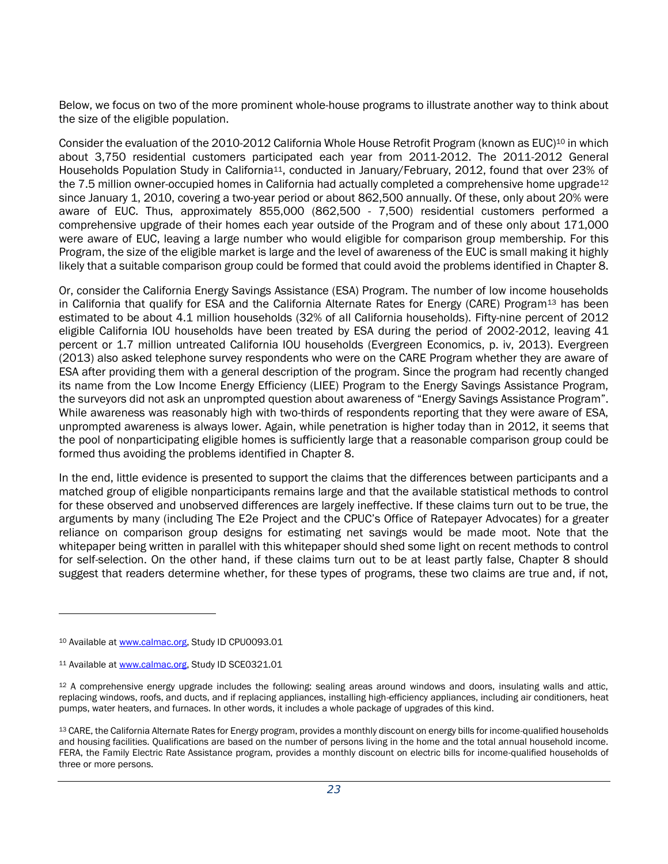Below, we focus on two of the more prominent whole-house programs to illustrate another way to think about the size of the eligible population.

Consider the evaluation of the 2010-2012 California Whole House Retrofit Program (known as EUC)<sup>10</sup> in which about 3,750 residential customers participated each year from 2011-2012. The 2011-2012 General Households Population Study in California<sup>11</sup>, conducted in January/February, 2012, found that over 23% of the 7.5 million owner-occupied homes in California had actually completed a comprehensive home upgrade<sup>12</sup> since January 1, 2010, covering a two-year period or about 862,500 annually. Of these, only about 20% were aware of EUC. Thus, approximately 855,000 (862,500 - 7,500) residential customers performed a comprehensive upgrade of their homes each year outside of the Program and of these only about 171,000 were aware of EUC, leaving a large number who would eligible for comparison group membership. For this Program, the size of the eligible market is large and the level of awareness of the EUC is small making it highly likely that a suitable comparison group could be formed that could avoid the problems identified in Chapter 8.

Or, consider the California Energy Savings Assistance (ESA) Program. The number of low income households in California that qualify for ESA and the California Alternate Rates for Energy (CARE) Program<sup>13</sup> has been estimated to be about 4.1 million households (32% of all California households). Fifty-nine percent of 2012 eligible California IOU households have been treated by ESA during the period of 2002-2012, leaving 41 percent or 1.7 million untreated California IOU households (Evergreen Economics, p. iv, 2013). Evergreen (2013) also asked telephone survey respondents who were on the CARE Program whether they are aware of ESA after providing them with a general description of the program. Since the program had recently changed its name from the Low Income Energy Efficiency (LIEE) Program to the Energy Savings Assistance Program, the surveyors did not ask an unprompted question about awareness of "Energy Savings Assistance Program". While awareness was reasonably high with two-thirds of respondents reporting that they were aware of ESA, unprompted awareness is always lower. Again, while penetration is higher today than in 2012, it seems that the pool of nonparticipating eligible homes is sufficiently large that a reasonable comparison group could be formed thus avoiding the problems identified in Chapter 8.

In the end, little evidence is presented to support the claims that the differences between participants and a matched group of eligible nonparticipants remains large and that the available statistical methods to control for these observed and unobserved differences are largely ineffective. If these claims turn out to be true, the arguments by many (including The E2e Project and the CPUC's Office of Ratepayer Advocates) for a greater reliance on comparison group designs for estimating net savings would be made moot. Note that the whitepaper being written in parallel with this whitepaper should shed some light on recent methods to control for self-selection. On the other hand, if these claims turn out to be at least partly false, Chapter 8 should suggest that readers determine whether, for these types of programs, these two claims are true and, if not,

l

<sup>10</sup> Available a[t www.calmac.org,](http://www.calmac.org/) Study ID CPU0093.01

<sup>11</sup> Available a[t www.calmac.org,](http://www.calmac.org/) Study ID SCE0321.01

<sup>&</sup>lt;sup>12</sup> A comprehensive energy upgrade includes the following: sealing areas around windows and doors, insulating walls and attic, replacing windows, roofs, and ducts, and if replacing appliances, installing high-efficiency appliances, including air conditioners, heat pumps, water heaters, and furnaces. In other words, it includes a whole package of upgrades of this kind.

<sup>13</sup> CARE, the California Alternate Rates for Energy program, provides a monthly discount on energy bills for income-qualified households and housing facilities. Qualifications are based on the number of persons living in the home and the total annual household income. FERA, the Family Electric Rate Assistance program, provides a monthly discount on electric bills for income-qualified households of three or more persons.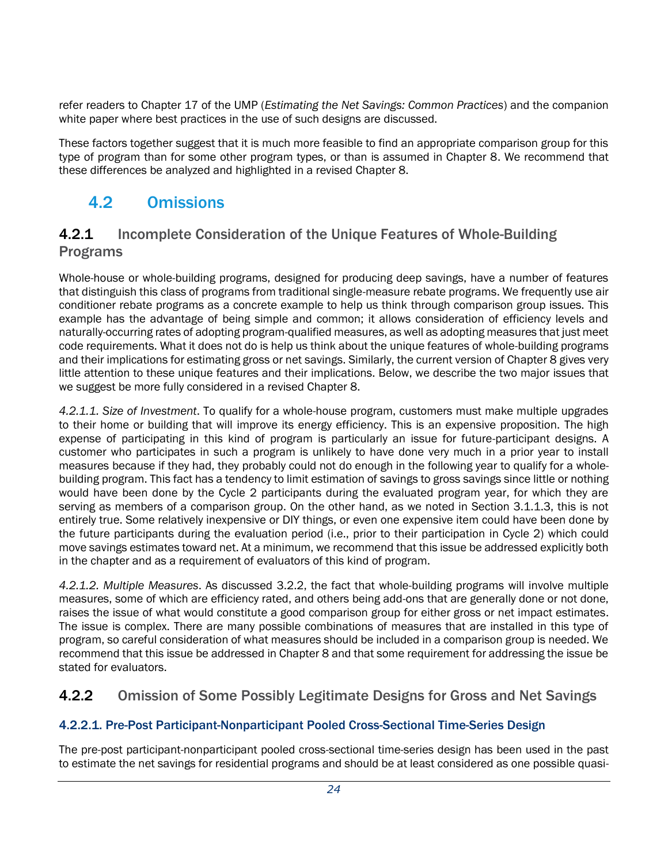refer readers to Chapter 17 of the UMP (*Estimating the Net Savings: Common Practices*) and the companion white paper where best practices in the use of such designs are discussed.

These factors together suggest that it is much more feasible to find an appropriate comparison group for this type of program than for some other program types, or than is assumed in Chapter 8. We recommend that these differences be analyzed and highlighted in a revised Chapter 8.

## <span id="page-26-0"></span>4.2 Omissions

#### 4.2.1 Incomplete Consideration of the Unique Features of Whole-Building Programs

Whole-house or whole-building programs, designed for producing deep savings, have a number of features that distinguish this class of programs from traditional single-measure rebate programs. We frequently use air conditioner rebate programs as a concrete example to help us think through comparison group issues. This example has the advantage of being simple and common; it allows consideration of efficiency levels and naturally-occurring rates of adopting program-qualified measures, as well as adopting measures that just meet code requirements. What it does not do is help us think about the unique features of whole-building programs and their implications for estimating gross or net savings. Similarly, the current version of Chapter 8 gives very little attention to these unique features and their implications. Below, we describe the two major issues that we suggest be more fully considered in a revised Chapter 8.

*4.2.1.1. Size of Investment*. To qualify for a whole-house program, customers must make multiple upgrades to their home or building that will improve its energy efficiency. This is an expensive proposition. The high expense of participating in this kind of program is particularly an issue for future-participant designs. A customer who participates in such a program is unlikely to have done very much in a prior year to install measures because if they had, they probably could not do enough in the following year to qualify for a wholebuilding program. This fact has a tendency to limit estimation of savings to gross savings since little or nothing would have been done by the Cycle 2 participants during the evaluated program year, for which they are serving as members of a comparison group. On the other hand, as we noted in Section 3.1.1.3, this is not entirely true. Some relatively inexpensive or DIY things, or even one expensive item could have been done by the future participants during the evaluation period (i.e., prior to their participation in Cycle 2) which could move savings estimates toward net. At a minimum, we recommend that this issue be addressed explicitly both in the chapter and as a requirement of evaluators of this kind of program.

*4.2.1.2. Multiple Measures*. As discussed [3.2.2,](#page-19-0) the fact that whole-building programs will involve multiple measures, some of which are efficiency rated, and others being add-ons that are generally done or not done, raises the issue of what would constitute a good comparison group for either gross or net impact estimates. The issue is complex. There are many possible combinations of measures that are installed in this type of program, so careful consideration of what measures should be included in a comparison group is needed. We recommend that this issue be addressed in Chapter 8 and that some requirement for addressing the issue be stated for evaluators.

## 4.2.2 Omission of Some Possibly Legitimate Designs for Gross and Net Savings

#### 4.2.2.1. Pre-Post Participant-Nonparticipant Pooled Cross-Sectional Time-Series Design

The pre-post participant-nonparticipant pooled cross-sectional time-series design has been used in the past to estimate the net savings for residential programs and should be at least considered as one possible quasi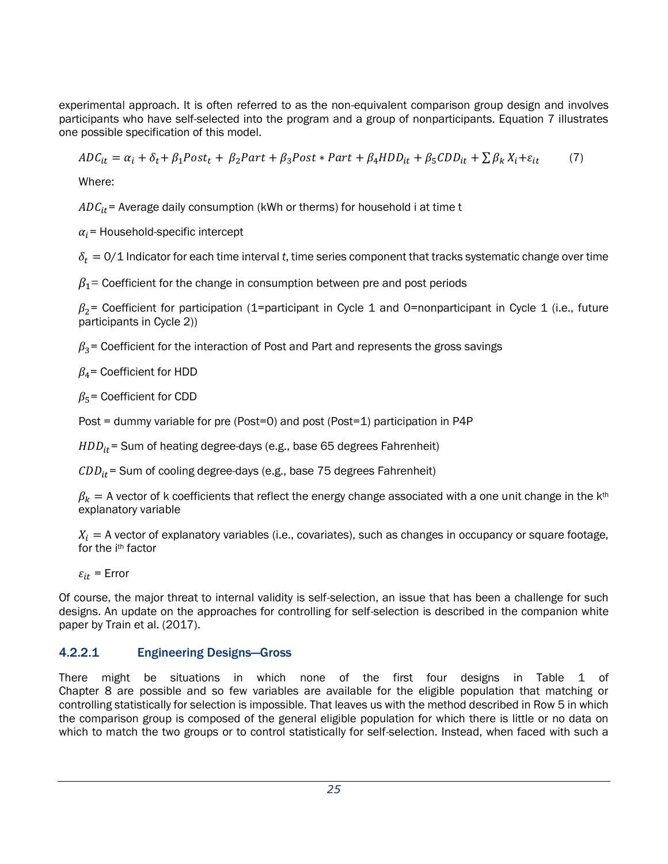experimental approach. It is often referred to as the non-equivalent comparison group design and involves participants who have self-selected into the program and a group of nonparticipants. Equation 7 illustrates one possible specification of this model.

 $ADC_{it} = \alpha_i + \delta_t + \beta_1 Post_t + \beta_2 Part + \beta_3 Post * Part + \beta_4 HDD_{it} + \beta_5 CDD_{it} + \sum \beta_k X_i + \varepsilon_{it}$  (7)

Where:

 $ADC_{it}$  = Average daily consumption (kWh or therms) for household i at time t

 $\alpha_i$ = Household-specific intercept

 $\delta_t = 0/1$  Indicator for each time interval t, time series component that tracks systematic change over time

 $\beta_1$ = Coefficient for the change in consumption between pre and post periods

 $\beta_2$ = Coefficient for participation (1=participant in Cycle 1 and 0=nonparticipant in Cycle 1 (i.e., future participants in Cycle 2))

 $\beta_3$  = Coefficient for the interaction of Post and Part and represents the gross savings

 $\beta_4$ = Coefficient for HDD

 $\beta_5$ = Coefficient for CDD

Post = dummy variable for pre (Post=0) and post (Post=1) participation in P4P

 $HDD_{it}$  = Sum of heating degree-days (e.g., base 65 degrees Fahrenheit)

 $CDD_{it}$  = Sum of cooling degree-days (e.g., base 75 degrees Fahrenheit)

 $\beta_k = A$  vector of k coefficients that reflect the energy change associated with a one unit change in the k<sup>th</sup> explanatory variable

 $X_i = A$  vector of explanatory variables (i.e., covariates), such as changes in occupancy or square footage, for the ith factor

 $\varepsilon_{it}$  = Error

Of course, the major threat to internal validity is self-selection, an issue that has been a challenge for such designs. An update on the approaches for controlling for self-selection is described in the companion white paper by Train et al. (2017).

#### 4.2.2.1 Engineering Designs—Gross

There might be situations in which none of the first four designs in Table 1 of Chapter 8 are possible and so few variables are available for the eligible population that matching or controlling statistically for selection is impossible. That leaves us with the method described in Row 5 in which the comparison group is composed of the general eligible population for which there is little or no data on which to match the two groups or to control statistically for self-selection. Instead, when faced with such a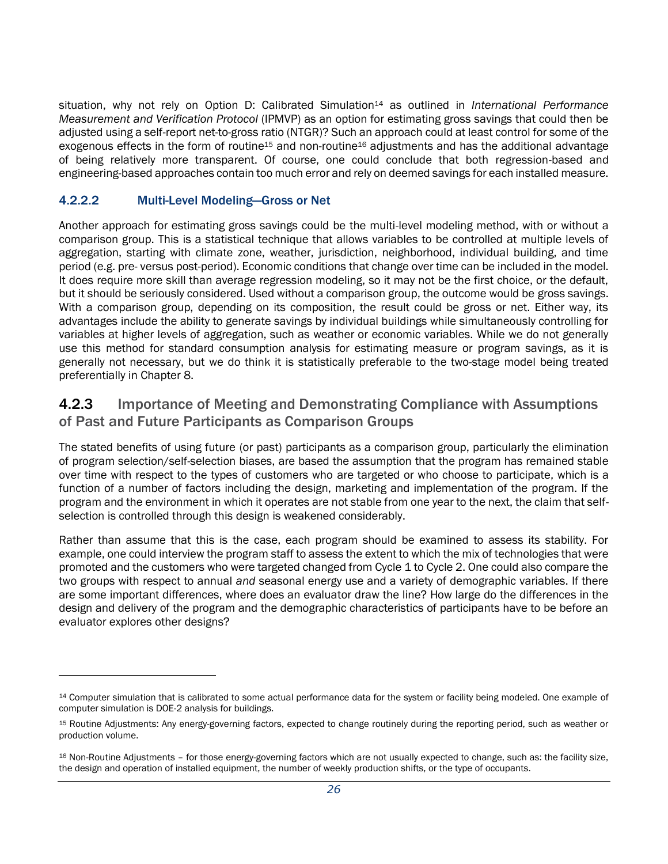situation, why not rely on Option D: Calibrated Simulation<sup>14</sup> as outlined in *International Performance Measurement and Verification Protocol* (IPMVP) as an option for estimating gross savings that could then be adjusted using a self-report net-to-gross ratio (NTGR)? Such an approach could at least control for some of the exogenous effects in the form of routine<sup>15</sup> and non-routine<sup>16</sup> adjustments and has the additional advantage of being relatively more transparent. Of course, one could conclude that both regression-based and engineering-based approaches contain too much error and rely on deemed savings for each installed measure.

#### <span id="page-28-0"></span>4.2.2.2 Multi-Level Modeling—Gross or Net

l

Another approach for estimating gross savings could be the multi-level modeling method, with or without a comparison group. This is a statistical technique that allows variables to be controlled at multiple levels of aggregation, starting with climate zone, weather, jurisdiction, neighborhood, individual building, and time period (e.g. pre- versus post-period). Economic conditions that change over time can be included in the model. It does require more skill than average regression modeling, so it may not be the first choice, or the default, but it should be seriously considered. Used without a comparison group, the outcome would be gross savings. With a comparison group, depending on its composition, the result could be gross or net. Either way, its advantages include the ability to generate savings by individual buildings while simultaneously controlling for variables at higher levels of aggregation, such as weather or economic variables. While we do not generally use this method for standard consumption analysis for estimating measure or program savings, as it is generally not necessary, but we do think it is statistically preferable to the two-stage model being treated preferentially in Chapter 8.

#### 4.2.3 Importance of Meeting and Demonstrating Compliance with Assumptions of Past and Future Participants as Comparison Groups

The stated benefits of using future (or past) participants as a comparison group, particularly the elimination of program selection/self-selection biases, are based the assumption that the program has remained stable over time with respect to the types of customers who are targeted or who choose to participate, which is a function of a number of factors including the design, marketing and implementation of the program. If the program and the environment in which it operates are not stable from one year to the next, the claim that selfselection is controlled through this design is weakened considerably.

Rather than assume that this is the case, each program should be examined to assess its stability. For example, one could interview the program staff to assess the extent to which the mix of technologies that were promoted and the customers who were targeted changed from Cycle 1 to Cycle 2. One could also compare the two groups with respect to annual *and* seasonal energy use and a variety of demographic variables. If there are some important differences, where does an evaluator draw the line? How large do the differences in the design and delivery of the program and the demographic characteristics of participants have to be before an evaluator explores other designs?

<sup>14</sup> Computer simulation that is calibrated to some actual performance data for the system or facility being modeled. One example of computer simulation is DOE-2 analysis for buildings.

<sup>15</sup> Routine Adjustments: Any energy-governing factors, expected to change routinely during the reporting period, such as weather or production volume.

<sup>16</sup> Non-Routine Adjustments – for those energy-governing factors which are not usually expected to change, such as: the facility size, the design and operation of installed equipment, the number of weekly production shifts, or the type of occupants.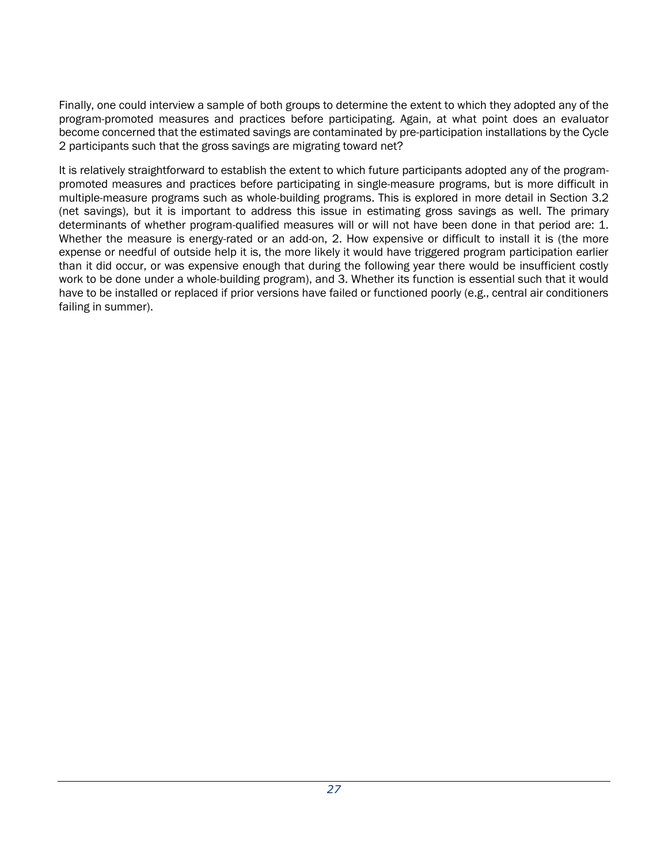Finally, one could interview a sample of both groups to determine the extent to which they adopted any of the program-promoted measures and practices before participating. Again, at what point does an evaluator become concerned that the estimated savings are contaminated by pre-participation installations by the Cycle 2 participants such that the gross savings are migrating toward net?

It is relatively straightforward to establish the extent to which future participants adopted any of the programpromoted measures and practices before participating in single-measure programs, but is more difficult in multiple-measure programs such as whole-building programs. This is explored in more detail in Section [3.2](#page-16-0) (net savings), but it is important to address this issue in estimating gross savings as well. The primary determinants of whether program-qualified measures will or will not have been done in that period are: 1. Whether the measure is energy-rated or an add-on, 2. How expensive or difficult to install it is (the more expense or needful of outside help it is, the more likely it would have triggered program participation earlier than it did occur, or was expensive enough that during the following year there would be insufficient costly work to be done under a whole-building program), and 3. Whether its function is essential such that it would have to be installed or replaced if prior versions have failed or functioned poorly (e.g., central air conditioners failing in summer).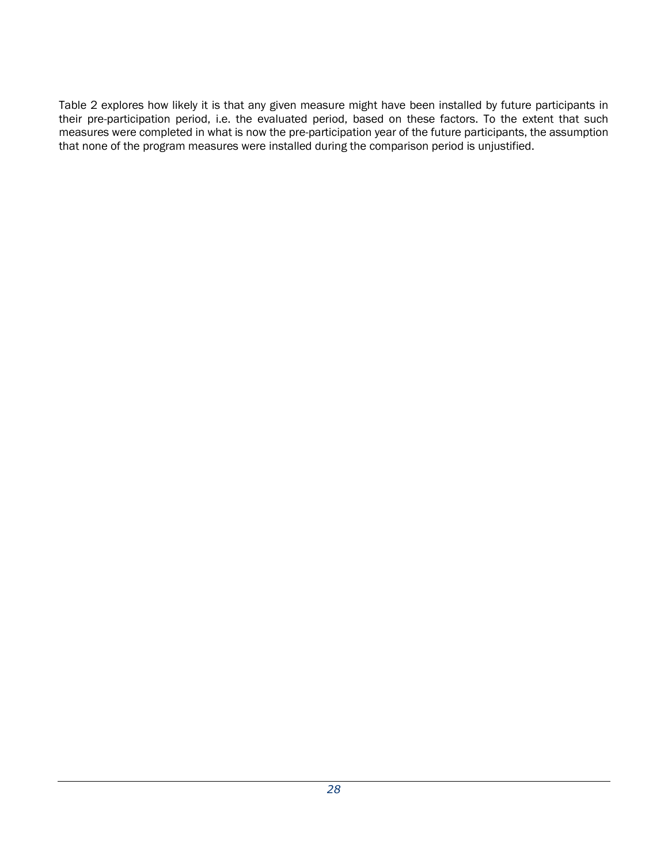<span id="page-30-0"></span>[Table 2](#page-30-0) explores how likely it is that any given measure might have been installed by future participants in their pre-participation period, i.e. the evaluated period, based on these factors. To the extent that such measures were completed in what is now the pre-participation year of the future participants, the assumption that none of the program measures were installed during the comparison period is unjustified.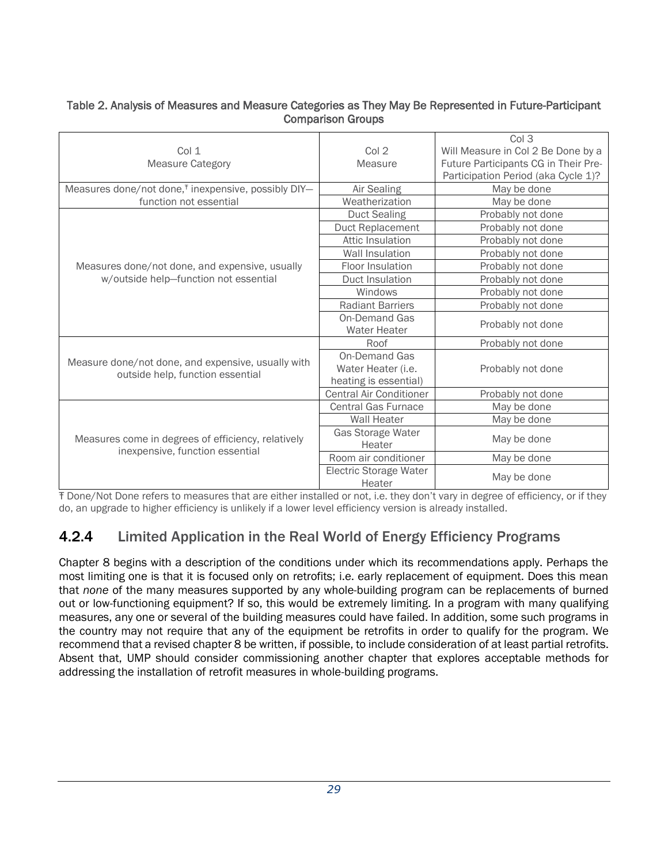#### Table 2. Analysis of Measures and Measure Categories as They May Be Represented in Future-Participant Comparison Groups

| Col 1<br><b>Measure Category</b>                                                       | Col <sub>2</sub><br>Measure                                  | Col 3<br>Will Measure in Col 2 Be Done by a<br>Future Participants CG in Their Pre-<br>Participation Period (aka Cycle 1)? |  |  |  |  |  |
|----------------------------------------------------------------------------------------|--------------------------------------------------------------|----------------------------------------------------------------------------------------------------------------------------|--|--|--|--|--|
| Measures done/not done, <sup>†</sup> inexpensive, possibly DIY-                        | Air Sealing                                                  | May be done                                                                                                                |  |  |  |  |  |
| function not essential                                                                 | Weatherization                                               | May be done                                                                                                                |  |  |  |  |  |
|                                                                                        | <b>Duct Sealing</b>                                          | Probably not done                                                                                                          |  |  |  |  |  |
|                                                                                        | Duct Replacement                                             | Probably not done                                                                                                          |  |  |  |  |  |
|                                                                                        | Attic Insulation                                             | Probably not done                                                                                                          |  |  |  |  |  |
|                                                                                        | <b>Wall Insulation</b>                                       | Probably not done                                                                                                          |  |  |  |  |  |
| Measures done/not done, and expensive, usually                                         | Floor Insulation                                             | Probably not done                                                                                                          |  |  |  |  |  |
| w/outside help-function not essential                                                  | Duct Insulation                                              | Probably not done                                                                                                          |  |  |  |  |  |
|                                                                                        | Windows                                                      | Probably not done                                                                                                          |  |  |  |  |  |
|                                                                                        | <b>Radiant Barriers</b>                                      | Probably not done                                                                                                          |  |  |  |  |  |
|                                                                                        | <b>On-Demand Gas</b><br><b>Water Heater</b>                  | Probably not done                                                                                                          |  |  |  |  |  |
|                                                                                        | Roof                                                         | Probably not done                                                                                                          |  |  |  |  |  |
| Measure done/not done, and expensive, usually with<br>outside help, function essential | On-Demand Gas<br>Water Heater (i.e.<br>heating is essential) | Probably not done                                                                                                          |  |  |  |  |  |
|                                                                                        | <b>Central Air Conditioner</b>                               | Probably not done                                                                                                          |  |  |  |  |  |
|                                                                                        | <b>Central Gas Furnace</b>                                   | May be done                                                                                                                |  |  |  |  |  |
|                                                                                        | <b>Wall Heater</b>                                           | May be done                                                                                                                |  |  |  |  |  |
| Measures come in degrees of efficiency, relatively<br>inexpensive, function essential  | Gas Storage Water<br>Heater                                  | May be done                                                                                                                |  |  |  |  |  |
|                                                                                        | Room air conditioner                                         | May be done                                                                                                                |  |  |  |  |  |
|                                                                                        | <b>Electric Storage Water</b><br>Heater                      | May be done                                                                                                                |  |  |  |  |  |

Ŧ Done/Not Done refers to measures that are either installed or not, i.e. they don't vary in degree of efficiency, or if they do, an upgrade to higher efficiency is unlikely if a lower level efficiency version is already installed.

## 4.2.4 Limited Application in the Real World of Energy Efficiency Programs

Chapter 8 begins with a description of the conditions under which its recommendations apply. Perhaps the most limiting one is that it is focused only on retrofits; i.e. early replacement of equipment. Does this mean that *none* of the many measures supported by any whole-building program can be replacements of burned out or low-functioning equipment? If so, this would be extremely limiting. In a program with many qualifying measures, any one or several of the building measures could have failed. In addition, some such programs in the country may not require that any of the equipment be retrofits in order to qualify for the program. We recommend that a revised chapter 8 be written, if possible, to include consideration of at least partial retrofits. Absent that, UMP should consider commissioning another chapter that explores acceptable methods for addressing the installation of retrofit measures in whole-building programs.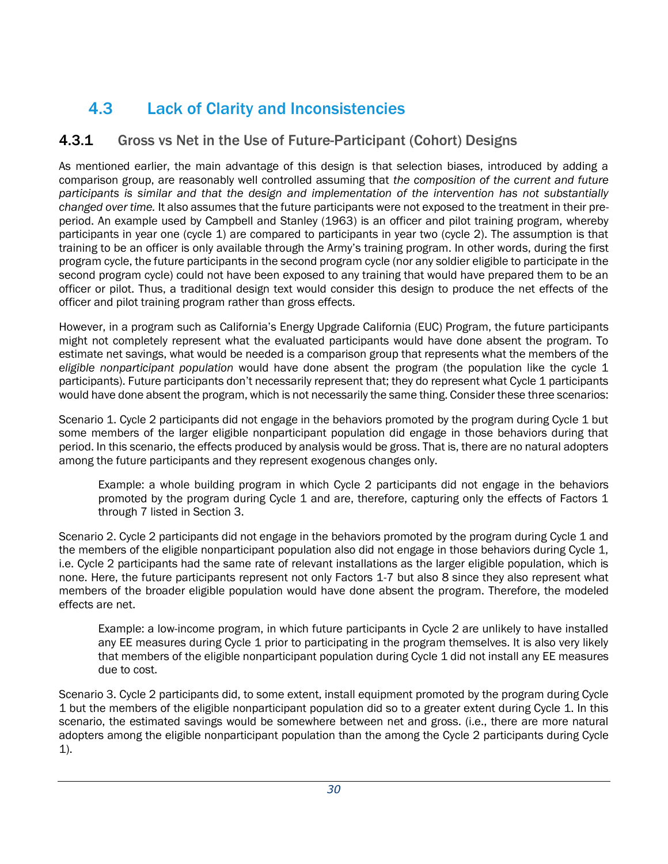# <span id="page-32-0"></span>4.3 Lack of Clarity and Inconsistencies

## 4.3.1 Gross vs Net in the Use of Future-Participant (Cohort) Designs

As mentioned earlier, the main advantage of this design is that selection biases, introduced by adding a comparison group, are reasonably well controlled assuming that *the composition of the current and future participants is similar and that the design and implementation of the intervention has not substantially changed over time.* It also assumes that the future participants were not exposed to the treatment in their preperiod. An example used by Campbell and Stanley (1963) is an officer and pilot training program, whereby participants in year one (cycle 1) are compared to participants in year two (cycle 2). The assumption is that training to be an officer is only available through the Army's training program. In other words, during the first program cycle, the future participants in the second program cycle (nor any soldier eligible to participate in the second program cycle) could not have been exposed to any training that would have prepared them to be an officer or pilot. Thus, a traditional design text would consider this design to produce the net effects of the officer and pilot training program rather than gross effects.

However, in a program such as California's Energy Upgrade California (EUC) Program, the future participants might not completely represent what the evaluated participants would have done absent the program. To estimate net savings, what would be needed is a comparison group that represents what the members of the *eligible nonparticipant population* would have done absent the program (the population like the cycle 1 participants). Future participants don't necessarily represent that; they do represent what Cycle 1 participants would have done absent the program, which is not necessarily the same thing. Consider these three scenarios:

Scenario 1. Cycle 2 participants did not engage in the behaviors promoted by the program during Cycle 1 but some members of the larger eligible nonparticipant population did engage in those behaviors during that period. In this scenario, the effects produced by analysis would be gross. That is, there are no natural adopters among the future participants and they represent exogenous changes only.

Example: a whole building program in which Cycle 2 participants did not engage in the behaviors promoted by the program during Cycle 1 and are, therefore, capturing only the effects of Factors 1 through 7 listed in Section [3.](#page-8-0)

Scenario 2. Cycle 2 participants did not engage in the behaviors promoted by the program during Cycle 1 and the members of the eligible nonparticipant population also did not engage in those behaviors during Cycle 1, i.e. Cycle 2 participants had the same rate of relevant installations as the larger eligible population, which is none. Here, the future participants represent not only Factors 1-7 but also 8 since they also represent what members of the broader eligible population would have done absent the program. Therefore, the modeled effects are net.

Example: a low-income program, in which future participants in Cycle 2 are unlikely to have installed any EE measures during Cycle 1 prior to participating in the program themselves. It is also very likely that members of the eligible nonparticipant population during Cycle 1 did not install any EE measures due to cost.

Scenario 3. Cycle 2 participants did, to some extent, install equipment promoted by the program during Cycle 1 but the members of the eligible nonparticipant population did so to a greater extent during Cycle 1. In this scenario, the estimated savings would be somewhere between net and gross. (i.e., there are more natural adopters among the eligible nonparticipant population than the among the Cycle 2 participants during Cycle 1).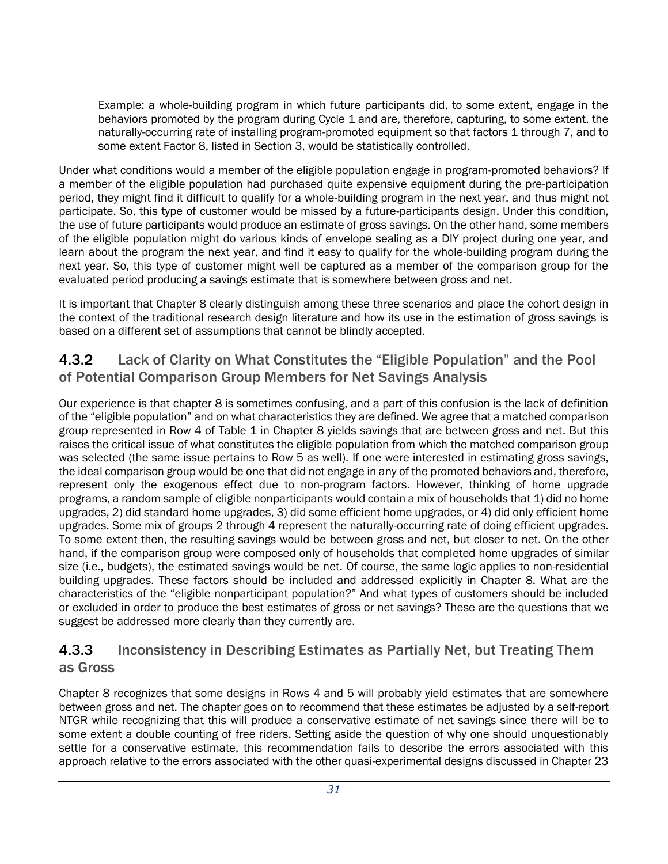Example: a whole-building program in which future participants did, to some extent, engage in the behaviors promoted by the program during Cycle 1 and are, therefore, capturing, to some extent, the naturally-occurring rate of installing program-promoted equipment so that factors 1 through 7, and to some extent Factor 8, listed in Section [3,](#page-8-0) would be statistically controlled.

Under what conditions would a member of the eligible population engage in program-promoted behaviors? If a member of the eligible population had purchased quite expensive equipment during the pre-participation period, they might find it difficult to qualify for a whole-building program in the next year, and thus might not participate. So, this type of customer would be missed by a future-participants design. Under this condition, the use of future participants would produce an estimate of gross savings. On the other hand, some members of the eligible population might do various kinds of envelope sealing as a DIY project during one year, and learn about the program the next year, and find it easy to qualify for the whole-building program during the next year. So, this type of customer might well be captured as a member of the comparison group for the evaluated period producing a savings estimate that is somewhere between gross and net.

It is important that Chapter 8 clearly distinguish among these three scenarios and place the cohort design in the context of the traditional research design literature and how its use in the estimation of gross savings is based on a different set of assumptions that cannot be blindly accepted.

#### 4.3.2 Lack of Clarity on What Constitutes the "Eligible Population" and the Pool of Potential Comparison Group Members for Net Savings Analysis

Our experience is that chapter 8 is sometimes confusing, and a part of this confusion is the lack of definition of the "eligible population" and on what characteristics they are defined. We agree that a matched comparison group represented in Row 4 of Table 1 in Chapter 8 yields savings that are between gross and net. But this raises the critical issue of what constitutes the eligible population from which the matched comparison group was selected (the same issue pertains to Row 5 as well). If one were interested in estimating gross savings, the ideal comparison group would be one that did not engage in any of the promoted behaviors and, therefore, represent only the exogenous effect due to non-program factors. However, thinking of home upgrade programs, a random sample of eligible nonparticipants would contain a mix of households that 1) did no home upgrades, 2) did standard home upgrades, 3) did some efficient home upgrades, or 4) did only efficient home upgrades. Some mix of groups 2 through 4 represent the naturally-occurring rate of doing efficient upgrades. To some extent then, the resulting savings would be between gross and net, but closer to net. On the other hand, if the comparison group were composed only of households that completed home upgrades of similar size (i.e., budgets), the estimated savings would be net. Of course, the same logic applies to non-residential building upgrades. These factors should be included and addressed explicitly in Chapter 8. What are the characteristics of the "eligible nonparticipant population?" And what types of customers should be included or excluded in order to produce the best estimates of gross or net savings? These are the questions that we suggest be addressed more clearly than they currently are.

#### 4.3.3 Inconsistency in Describing Estimates as Partially Net, but Treating Them as Gross

Chapter 8 recognizes that some designs in Rows 4 and 5 will probably yield estimates that are somewhere between gross and net. The chapter goes on to recommend that these estimates be adjusted by a self-report NTGR while recognizing that this will produce a conservative estimate of net savings since there will be to some extent a double counting of free riders. Setting aside the question of why one should unquestionably settle for a conservative estimate, this recommendation fails to describe the errors associated with this approach relative to the errors associated with the other quasi-experimental designs discussed in Chapter 23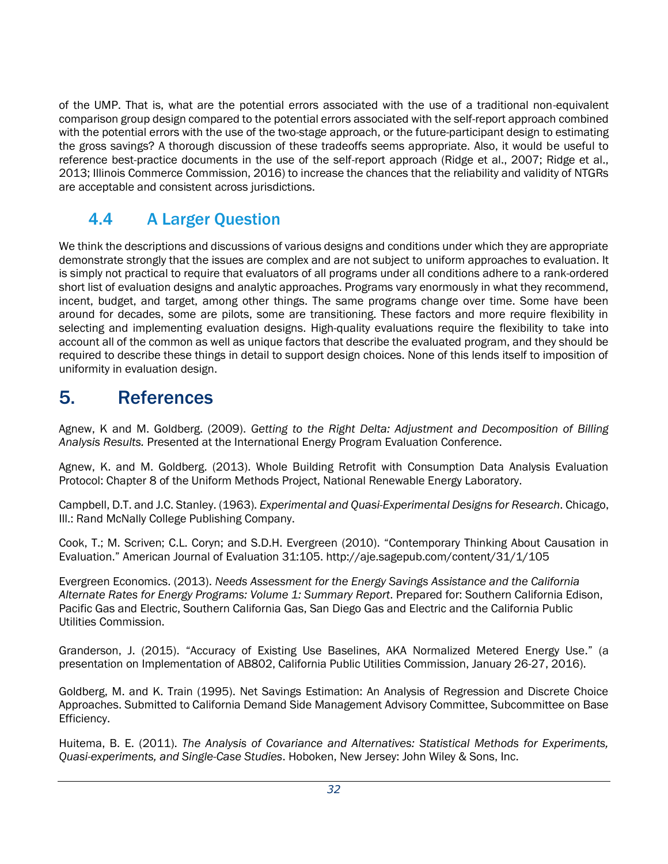of the UMP. That is, what are the potential errors associated with the use of a traditional non-equivalent comparison group design compared to the potential errors associated with the self-report approach combined with the potential errors with the use of the two-stage approach, or the future-participant design to estimating the gross savings? A thorough discussion of these tradeoffs seems appropriate. Also, it would be useful to reference best-practice documents in the use of the self-report approach (Ridge et al., 2007; Ridge et al., 2013; Illinois Commerce Commission, 2016) to increase the chances that the reliability and validity of NTGRs are acceptable and consistent across jurisdictions.

## <span id="page-34-0"></span>4.4 A Larger Question

We think the descriptions and discussions of various designs and conditions under which they are appropriate demonstrate strongly that the issues are complex and are not subject to uniform approaches to evaluation. It is simply not practical to require that evaluators of all programs under all conditions adhere to a rank-ordered short list of evaluation designs and analytic approaches. Programs vary enormously in what they recommend, incent, budget, and target, among other things. The same programs change over time. Some have been around for decades, some are pilots, some are transitioning. These factors and more require flexibility in selecting and implementing evaluation designs. High-quality evaluations require the flexibility to take into account all of the common as well as unique factors that describe the evaluated program, and they should be required to describe these things in detail to support design choices. None of this lends itself to imposition of uniformity in evaluation design.

## <span id="page-34-1"></span>5. References

Agnew, K and M. Goldberg. (2009). *Getting to the Right Delta: Adjustment and Decomposition of Billing Analysis Results.* Presented at the International Energy Program Evaluation Conference.

Agnew, K. and M. Goldberg. (2013). Whole Building Retrofit with Consumption Data Analysis Evaluation Protocol: Chapter 8 of the Uniform Methods Project, National Renewable Energy Laboratory.

Campbell, D.T. and J.C. Stanley. (1963). *Experimental and Quasi-Experimental Designs for Research*. Chicago, Ill.: Rand McNally College Publishing Company.

Cook, T.; M. Scriven; C.L. Coryn; and S.D.H. Evergreen (2010). "Contemporary Thinking About Causation in Evaluation." American Journal of Evaluation 31:105. http://aje.sagepub.com/content/31/1/105

Evergreen Economics. (2013). *Needs Assessment for the Energy Savings Assistance and the California Alternate Rates for Energy Programs: Volume 1: Summary Report*. Prepared for: Southern California Edison, Pacific Gas and Electric, Southern California Gas, San Diego Gas and Electric and the California Public Utilities Commission.

Granderson, J. (2015). "Accuracy of Existing Use Baselines, AKA Normalized Metered Energy Use." (a presentation on Implementation of AB802, California Public Utilities Commission, January 26-27, 2016).

Goldberg, M. and K. Train (1995). Net Savings Estimation: An Analysis of Regression and Discrete Choice Approaches. Submitted to California Demand Side Management Advisory Committee, Subcommittee on Base Efficiency.

Huitema, B. E. (2011). *The Analysis of Covariance and Alternatives: Statistical Methods for Experiments, Quasi-experiments, and Single-Case Studies*. Hoboken, New Jersey: John Wiley & Sons, Inc.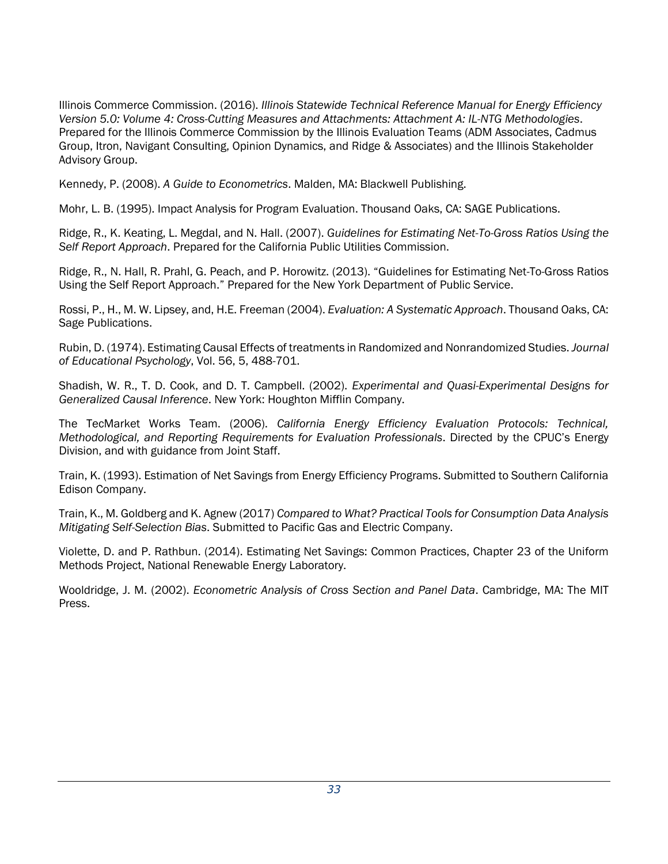Illinois Commerce Commission. (2016). *Illinois Statewide Technical Reference Manual for Energy Efficiency Version 5.0: Volume 4: Cross-Cutting Measures and Attachments: Attachment A: IL-NTG Methodologies*. Prepared for the Illinois Commerce Commission by the Illinois Evaluation Teams (ADM Associates, Cadmus Group, Itron, Navigant Consulting, Opinion Dynamics, and Ridge & Associates) and the Illinois Stakeholder Advisory Group.

Kennedy, P. (2008). *A Guide to Econometrics*. Malden, MA: Blackwell Publishing.

Mohr, L. B. (1995). Impact Analysis for Program Evaluation. Thousand Oaks, CA: SAGE Publications.

Ridge, R., K. Keating, L. Megdal, and N. Hall. (2007). *Guidelines for Estimating Net-To-Gross Ratios Using the Self Report Approach*. Prepared for the California Public Utilities Commission.

Ridge, R., N. Hall, R. Prahl, G. Peach, and P. Horowitz. (2013). "Guidelines for Estimating Net-To-Gross Ratios Using the Self Report Approach." Prepared for the New York Department of Public Service.

Rossi, P., H., M. W. Lipsey, and, H.E. Freeman (2004). *Evaluation: A Systematic Approach*. Thousand Oaks, CA: Sage Publications.

Rubin, D. (1974). Estimating Causal Effects of treatments in Randomized and Nonrandomized Studies. *Journal of Educational Psychology*, Vol. 56, 5, 488-701.

Shadish, W. R., T. D. Cook, and D. T. Campbell. (2002). *Experimental and Quasi-Experimental Designs for Generalized Causal Inference*. New York: Houghton Mifflin Company.

The TecMarket Works Team. (2006). *California Energy Efficiency Evaluation Protocols: Technical, Methodological, and Reporting Requirements for Evaluation Professionals*. Directed by the CPUC's Energy Division, and with guidance from Joint Staff.

Train, K. (1993). Estimation of Net Savings from Energy Efficiency Programs. Submitted to Southern California Edison Company.

Train, K., M. Goldberg and K. Agnew (2017) *Compared to What? Practical Tools for Consumption Data Analysis Mitigating Self-Selection Bias*. Submitted to Pacific Gas and Electric Company.

Violette, D. and P. Rathbun. (2014). Estimating Net Savings: Common Practices, Chapter 23 of the Uniform Methods Project, National Renewable Energy Laboratory.

Wooldridge, J. M. (2002). *Econometric Analysis of Cross Section and Panel Data*. Cambridge, MA: The MIT Press.